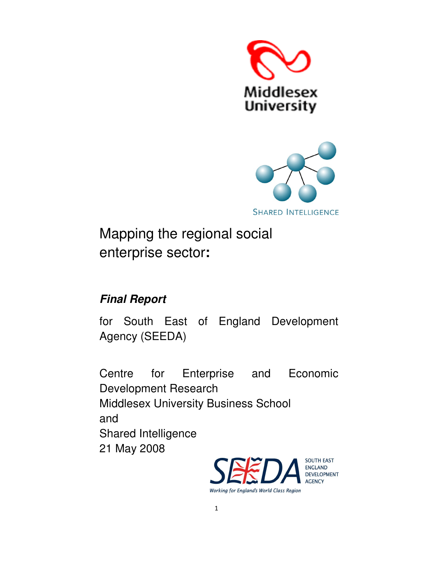



Mapping the regional social enterprise sector**:** 

# **Final Report**

for South East of England Development Agency (SEEDA)

Centre for Enterprise and Economic Development Research Middlesex University Business School and Shared Intelligence 21 May 2008



1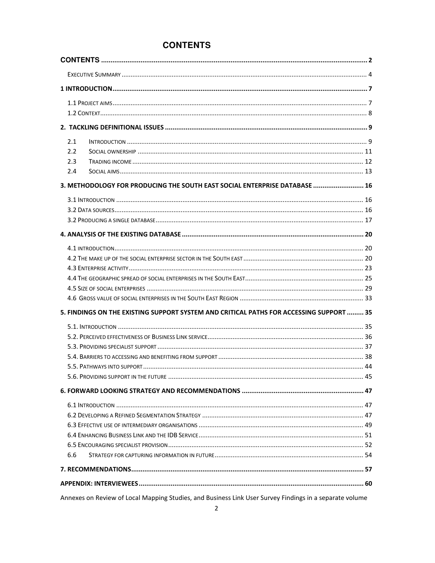# **CONTENTS**

| 2.1 |                                                                                         |  |
|-----|-----------------------------------------------------------------------------------------|--|
| 2.2 |                                                                                         |  |
| 2.3 |                                                                                         |  |
| 2.4 |                                                                                         |  |
|     | 3. METHODOLOGY FOR PRODUCING THE SOUTH EAST SOCIAL ENTERPRISE DATABASE  16              |  |
|     |                                                                                         |  |
|     |                                                                                         |  |
|     |                                                                                         |  |
|     |                                                                                         |  |
|     |                                                                                         |  |
|     |                                                                                         |  |
|     |                                                                                         |  |
|     |                                                                                         |  |
|     |                                                                                         |  |
|     |                                                                                         |  |
|     | 5. FINDINGS ON THE EXISTING SUPPORT SYSTEM AND CRITICAL PATHS FOR ACCESSING SUPPORT  35 |  |
|     |                                                                                         |  |
|     |                                                                                         |  |
|     |                                                                                         |  |
|     |                                                                                         |  |
|     |                                                                                         |  |
|     |                                                                                         |  |
|     |                                                                                         |  |
|     |                                                                                         |  |
|     |                                                                                         |  |
|     |                                                                                         |  |
|     |                                                                                         |  |
| 6.6 |                                                                                         |  |
|     |                                                                                         |  |
|     |                                                                                         |  |
|     |                                                                                         |  |

Annexes on Review of Local Mapping Studies, and Business Link User Survey Findings in a separate volume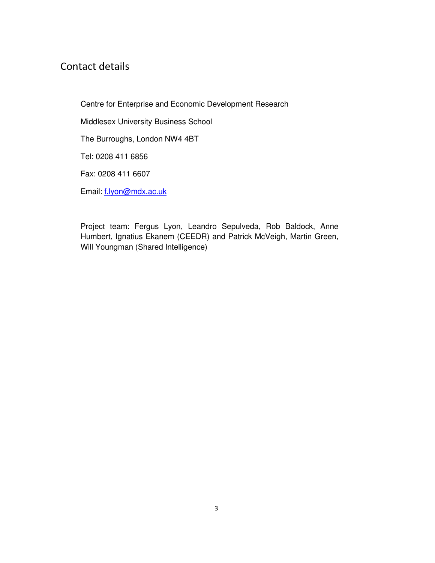# Contact details

Centre for Enterprise and Economic Development Research Middlesex University Business School The Burroughs, London NW4 4BT Tel: 0208 411 6856 Fax: 0208 411 6607 Email: [f.lyon@mdx.ac.uk](mailto:f.lyon@mdx.ac.uk)

Project team: Fergus Lyon, Leandro Sepulveda, Rob Baldock, Anne Humbert, Ignatius Ekanem (CEEDR) and Patrick McVeigh, Martin Green, Will Youngman (Shared Intelligence)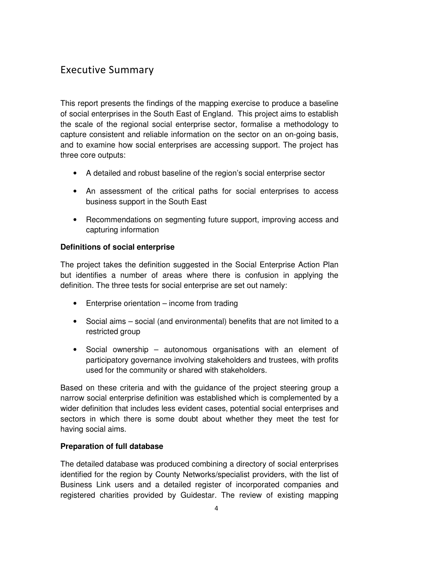# <span id="page-3-0"></span>Executive Summary

This report presents the findings of the mapping exercise to produce a baseline of social enterprises in the South East of England. This project aims to establish the scale of the regional social enterprise sector, formalise a methodology to capture consistent and reliable information on the sector on an on-going basis, and to examine how social enterprises are accessing support. The project has three core outputs:

- A detailed and robust baseline of the region's social enterprise sector
- An assessment of the critical paths for social enterprises to access business support in the South East
- Recommendations on segmenting future support, improving access and capturing information

# **Definitions of social enterprise**

The project takes the definition suggested in the Social Enterprise Action Plan but identifies a number of areas where there is confusion in applying the definition. The three tests for social enterprise are set out namely:

- Enterprise orientation income from trading
- Social aims social (and environmental) benefits that are not limited to a restricted group
- Social ownership autonomous organisations with an element of participatory governance involving stakeholders and trustees, with profits used for the community or shared with stakeholders.

Based on these criteria and with the guidance of the project steering group a narrow social enterprise definition was established which is complemented by a wider definition that includes less evident cases, potential social enterprises and sectors in which there is some doubt about whether they meet the test for having social aims.

# **Preparation of full database**

The detailed database was produced combining a directory of social enterprises identified for the region by County Networks/specialist providers, with the list of Business Link users and a detailed register of incorporated companies and registered charities provided by Guidestar. The review of existing mapping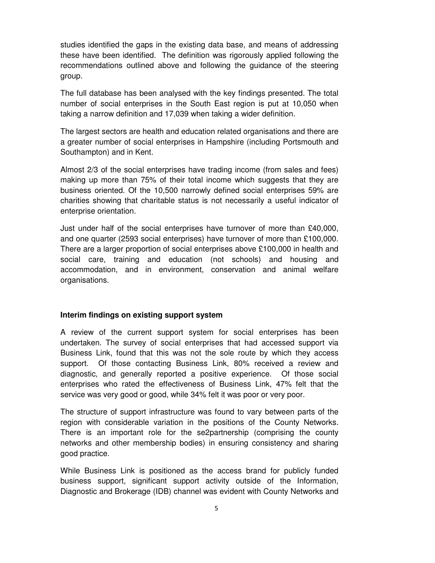studies identified the gaps in the existing data base, and means of addressing these have been identified. The definition was rigorously applied following the recommendations outlined above and following the guidance of the steering group.

The full database has been analysed with the key findings presented. The total number of social enterprises in the South East region is put at 10,050 when taking a narrow definition and 17,039 when taking a wider definition.

The largest sectors are health and education related organisations and there are a greater number of social enterprises in Hampshire (including Portsmouth and Southampton) and in Kent.

Almost 2/3 of the social enterprises have trading income (from sales and fees) making up more than 75% of their total income which suggests that they are business oriented. Of the 10,500 narrowly defined social enterprises 59% are charities showing that charitable status is not necessarily a useful indicator of enterprise orientation.

Just under half of the social enterprises have turnover of more than £40,000, and one quarter (2593 social enterprises) have turnover of more than £100,000. There are a larger proportion of social enterprises above £100,000 in health and social care, training and education (not schools) and housing and accommodation, and in environment, conservation and animal welfare organisations.

#### **Interim findings on existing support system**

A review of the current support system for social enterprises has been undertaken. The survey of social enterprises that had accessed support via Business Link, found that this was not the sole route by which they access support. Of those contacting Business Link, 80% received a review and diagnostic, and generally reported a positive experience. Of those social enterprises who rated the effectiveness of Business Link, 47% felt that the service was very good or good, while 34% felt it was poor or very poor.

The structure of support infrastructure was found to vary between parts of the region with considerable variation in the positions of the County Networks. There is an important role for the se2partnership (comprising the county networks and other membership bodies) in ensuring consistency and sharing good practice.

While Business Link is positioned as the access brand for publicly funded business support, significant support activity outside of the Information, Diagnostic and Brokerage (IDB) channel was evident with County Networks and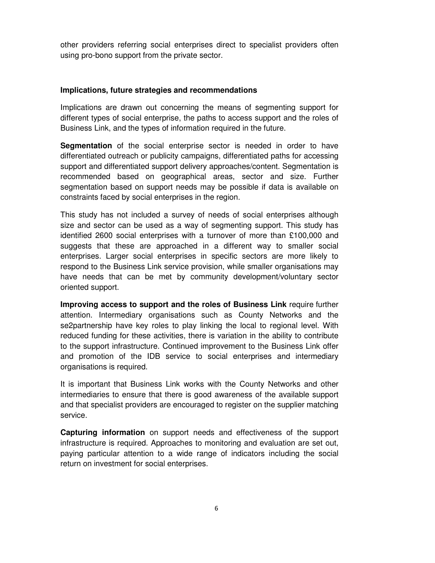other providers referring social enterprises direct to specialist providers often using pro-bono support from the private sector.

#### **Implications, future strategies and recommendations**

Implications are drawn out concerning the means of segmenting support for different types of social enterprise, the paths to access support and the roles of Business Link, and the types of information required in the future.

**Segmentation** of the social enterprise sector is needed in order to have differentiated outreach or publicity campaigns, differentiated paths for accessing support and differentiated support delivery approaches/content. Segmentation is recommended based on geographical areas, sector and size. Further segmentation based on support needs may be possible if data is available on constraints faced by social enterprises in the region.

This study has not included a survey of needs of social enterprises although size and sector can be used as a way of segmenting support. This study has identified 2600 social enterprises with a turnover of more than £100,000 and suggests that these are approached in a different way to smaller social enterprises. Larger social enterprises in specific sectors are more likely to respond to the Business Link service provision, while smaller organisations may have needs that can be met by community development/voluntary sector oriented support.

**Improving access to support and the roles of Business Link** require further attention. Intermediary organisations such as County Networks and the se2partnership have key roles to play linking the local to regional level. With reduced funding for these activities, there is variation in the ability to contribute to the support infrastructure. Continued improvement to the Business Link offer and promotion of the IDB service to social enterprises and intermediary organisations is required.

It is important that Business Link works with the County Networks and other intermediaries to ensure that there is good awareness of the available support and that specialist providers are encouraged to register on the supplier matching service.

**Capturing information** on support needs and effectiveness of the support infrastructure is required. Approaches to monitoring and evaluation are set out, paying particular attention to a wide range of indicators including the social return on investment for social enterprises.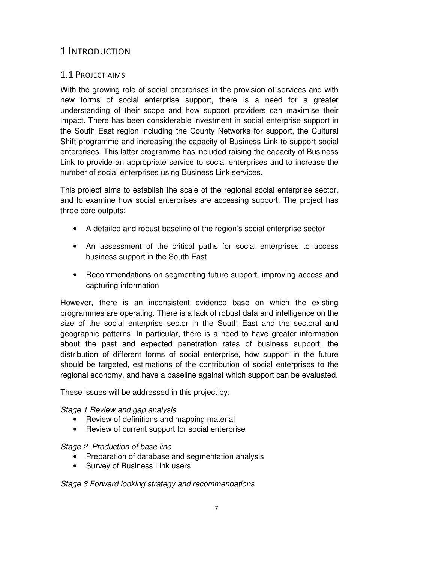# <span id="page-6-0"></span>1 INTRODUCTION

# 1.1 PROJECT AIMS

With the growing role of social enterprises in the provision of services and with new forms of social enterprise support, there is a need for a greater understanding of their scope and how support providers can maximise their impact. There has been considerable investment in social enterprise support in the South East region including the County Networks for support, the Cultural Shift programme and increasing the capacity of Business Link to support social enterprises. This latter programme has included raising the capacity of Business Link to provide an appropriate service to social enterprises and to increase the number of social enterprises using Business Link services.

This project aims to establish the scale of the regional social enterprise sector, and to examine how social enterprises are accessing support. The project has three core outputs:

- A detailed and robust baseline of the region's social enterprise sector
- An assessment of the critical paths for social enterprises to access business support in the South East
- Recommendations on segmenting future support, improving access and capturing information

However, there is an inconsistent evidence base on which the existing programmes are operating. There is a lack of robust data and intelligence on the size of the social enterprise sector in the South East and the sectoral and geographic patterns. In particular, there is a need to have greater information about the past and expected penetration rates of business support, the distribution of different forms of social enterprise, how support in the future should be targeted, estimations of the contribution of social enterprises to the regional economy, and have a baseline against which support can be evaluated.

These issues will be addressed in this project by:

Stage 1 Review and gap analysis

- Review of definitions and mapping material
- Review of current support for social enterprise

#### Stage 2 Production of base line

- Preparation of database and segmentation analysis
- Survey of Business Link users

Stage 3 Forward looking strategy and recommendations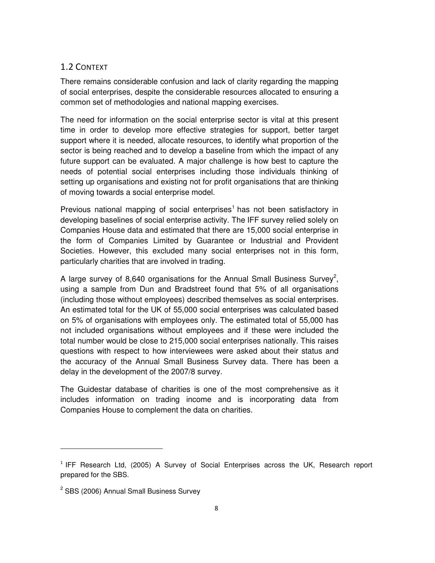# <span id="page-7-0"></span>1.2 CONTEXT

There remains considerable confusion and lack of clarity regarding the mapping of social enterprises, despite the considerable resources allocated to ensuring a common set of methodologies and national mapping exercises.

The need for information on the social enterprise sector is vital at this present time in order to develop more effective strategies for support, better target support where it is needed, allocate resources, to identify what proportion of the sector is being reached and to develop a baseline from which the impact of any future support can be evaluated. A major challenge is how best to capture the needs of potential social enterprises including those individuals thinking of setting up organisations and existing not for profit organisations that are thinking of moving towards a social enterprise model.

Previous national mapping of social enterprises<sup>1</sup> has not been satisfactory in developing baselines of social enterprise activity. The IFF survey relied solely on Companies House data and estimated that there are 15,000 social enterprise in the form of Companies Limited by Guarantee or Industrial and Provident Societies. However, this excluded many social enterprises not in this form, particularly charities that are involved in trading.

A large survey of 8,640 organisations for the Annual Small Business Survey<sup>2</sup>, using a sample from Dun and Bradstreet found that 5% of all organisations (including those without employees) described themselves as social enterprises. An estimated total for the UK of 55,000 social enterprises was calculated based on 5% of organisations with employees only. The estimated total of 55,000 has not included organisations without employees and if these were included the total number would be close to 215,000 social enterprises nationally. This raises questions with respect to how interviewees were asked about their status and the accuracy of the Annual Small Business Survey data. There has been a delay in the development of the 2007/8 survey.

The Guidestar database of charities is one of the most comprehensive as it includes information on trading income and is incorporating data from Companies House to complement the data on charities.

l

 $1$  IFF Research Ltd, (2005) A Survey of Social Enterprises across the UK, Research report prepared for the SBS.

<sup>&</sup>lt;sup>2</sup> SBS (2006) Annual Small Business Survey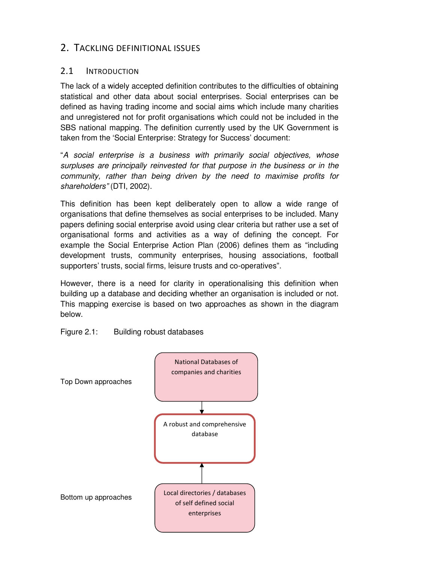# <span id="page-8-0"></span>2. TACKLING DEFINITIONAL ISSUES

# 2.1 INTRODUCTION

The lack of a widely accepted definition contributes to the difficulties of obtaining statistical and other data about social enterprises. Social enterprises can be defined as having trading income and social aims which include many charities and unregistered not for profit organisations which could not be included in the SBS national mapping. The definition currently used by the UK Government is taken from the 'Social Enterprise: Strategy for Success' document:

"A social enterprise is a business with primarily social objectives, whose surpluses are principally reinvested for that purpose in the business or in the community, rather than being driven by the need to maximise profits for shareholders" (DTI, 2002).

This definition has been kept deliberately open to allow a wide range of organisations that define themselves as social enterprises to be included. Many papers defining social enterprise avoid using clear criteria but rather use a set of organisational forms and activities as a way of defining the concept. For example the Social Enterprise Action Plan (2006) defines them as "including development trusts, community enterprises, housing associations, football supporters' trusts, social firms, leisure trusts and co-operatives".

However, there is a need for clarity in operationalising this definition when building up a database and deciding whether an organisation is included or not. This mapping exercise is based on two approaches as shown in the diagram below.

# Figure 2.1: Building robust databases

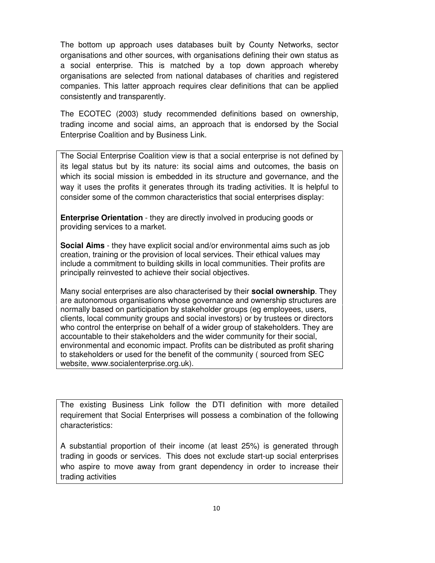The bottom up approach uses databases built by County Networks, sector organisations and other sources, with organisations defining their own status as a social enterprise. This is matched by a top down approach whereby organisations are selected from national databases of charities and registered companies. This latter approach requires clear definitions that can be applied consistently and transparently.

The ECOTEC (2003) study recommended definitions based on ownership, trading income and social aims, an approach that is endorsed by the Social Enterprise Coalition and by Business Link.

The Social Enterprise Coalition view is that a social enterprise is not defined by its legal status but by its nature: its social aims and outcomes, the basis on which its social mission is embedded in its structure and governance, and the way it uses the profits it generates through its trading activities. It is helpful to consider some of the common characteristics that social enterprises display:

**Enterprise Orientation** - they are directly involved in producing goods or providing services to a market.

**Social Aims** - they have explicit social and/or environmental aims such as job creation, training or the provision of local services. Their ethical values may include a commitment to building skills in local communities. Their profits are principally reinvested to achieve their social objectives.

Many social enterprises are also characterised by their **social ownership**. They are autonomous organisations whose governance and ownership structures are normally based on participation by stakeholder groups (eg employees, users, clients, local community groups and social investors) or by trustees or directors who control the enterprise on behalf of a wider group of stakeholders. They are accountable to their stakeholders and the wider community for their social, environmental and economic impact. Profits can be distributed as profit sharing to stakeholders or used for the benefit of the community ( sourced from SEC website, www.socialenterprise.org.uk).

The existing Business Link follow the DTI definition with more detailed requirement that Social Enterprises will possess a combination of the following characteristics:

A substantial proportion of their income (at least 25%) is generated through trading in goods or services. This does not exclude start-up social enterprises who aspire to move away from grant dependency in order to increase their trading activities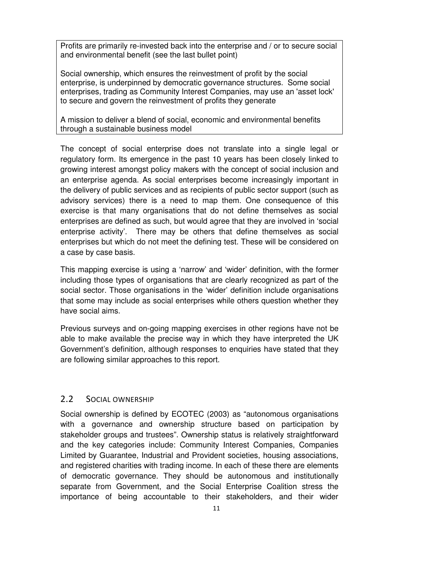<span id="page-10-0"></span>Profits are primarily re-invested back into the enterprise and / or to secure social and environmental benefit (see the last bullet point)

Social ownership, which ensures the reinvestment of profit by the social enterprise, is underpinned by democratic governance structures. Some social enterprises, trading as Community Interest Companies, may use an 'asset lock' to secure and govern the reinvestment of profits they generate

A mission to deliver a blend of social, economic and environmental benefits through a sustainable business model

The concept of social enterprise does not translate into a single legal or regulatory form. Its emergence in the past 10 years has been closely linked to growing interest amongst policy makers with the concept of social inclusion and an enterprise agenda. As social enterprises become increasingly important in the delivery of public services and as recipients of public sector support (such as advisory services) there is a need to map them. One consequence of this exercise is that many organisations that do not define themselves as social enterprises are defined as such, but would agree that they are involved in 'social enterprise activity'. There may be others that define themselves as social enterprises but which do not meet the defining test. These will be considered on a case by case basis.

This mapping exercise is using a 'narrow' and 'wider' definition, with the former including those types of organisations that are clearly recognized as part of the social sector. Those organisations in the 'wider' definition include organisations that some may include as social enterprises while others question whether they have social aims.

Previous surveys and on-going mapping exercises in other regions have not be able to make available the precise way in which they have interpreted the UK Government's definition, although responses to enquiries have stated that they are following similar approaches to this report.

# 2.2 SOCIAL OWNERSHIP

Social ownership is defined by ECOTEC (2003) as "autonomous organisations with a governance and ownership structure based on participation by stakeholder groups and trustees". Ownership status is relatively straightforward and the key categories include: Community Interest Companies, Companies Limited by Guarantee, Industrial and Provident societies, housing associations, and registered charities with trading income. In each of these there are elements of democratic governance. They should be autonomous and institutionally separate from Government, and the Social Enterprise Coalition stress the importance of being accountable to their stakeholders, and their wider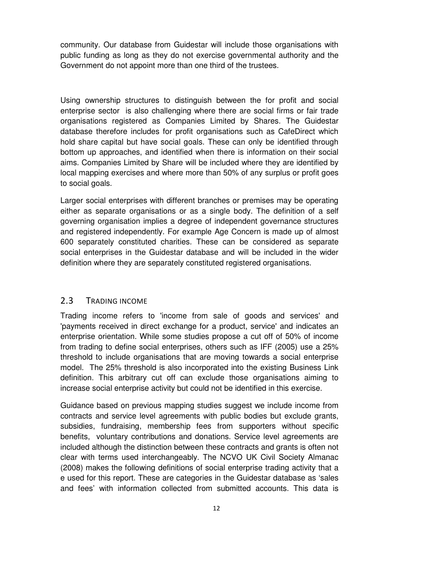<span id="page-11-0"></span>community. Our database from Guidestar will include those organisations with public funding as long as they do not exercise governmental authority and the Government do not appoint more than one third of the trustees.

Using ownership structures to distinguish between the for profit and social enterprise sector is also challenging where there are social firms or fair trade organisations registered as Companies Limited by Shares. The Guidestar database therefore includes for profit organisations such as CafeDirect which hold share capital but have social goals. These can only be identified through bottom up approaches, and identified when there is information on their social aims. Companies Limited by Share will be included where they are identified by local mapping exercises and where more than 50% of any surplus or profit goes to social goals.

Larger social enterprises with different branches or premises may be operating either as separate organisations or as a single body. The definition of a self governing organisation implies a degree of independent governance structures and registered independently. For example Age Concern is made up of almost 600 separately constituted charities. These can be considered as separate social enterprises in the Guidestar database and will be included in the wider definition where they are separately constituted registered organisations.

# 2.3 TRADING INCOME

Trading income refers to 'income from sale of goods and services' and 'payments received in direct exchange for a product, service' and indicates an enterprise orientation. While some studies propose a cut off of 50% of income from trading to define social enterprises, others such as IFF (2005) use a 25% threshold to include organisations that are moving towards a social enterprise model. The 25% threshold is also incorporated into the existing Business Link definition. This arbitrary cut off can exclude those organisations aiming to increase social enterprise activity but could not be identified in this exercise.

Guidance based on previous mapping studies suggest we include income from contracts and service level agreements with public bodies but exclude grants, subsidies, fundraising, membership fees from supporters without specific benefits, voluntary contributions and donations. Service level agreements are included although the distinction between these contracts and grants is often not clear with terms used interchangeably. The NCVO UK Civil Society Almanac (2008) makes the following definitions of social enterprise trading activity that a e used for this report. These are categories in the Guidestar database as 'sales and fees' with information collected from submitted accounts. This data is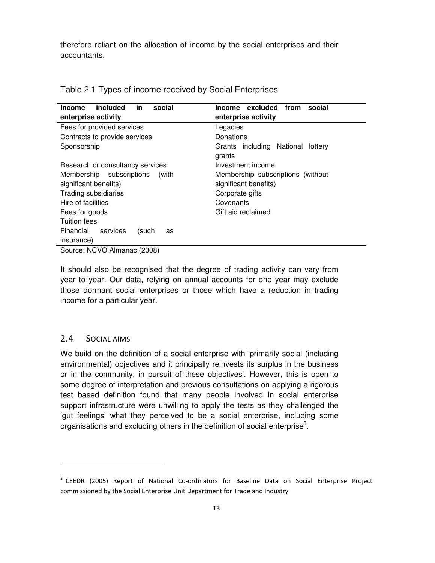<span id="page-12-0"></span>therefore reliant on the allocation of income by the social enterprises and their accountants.

| included<br>in.<br>social<br><b>Income</b>                                                                                 | excluded<br>from<br>social<br>Income                                                                             |
|----------------------------------------------------------------------------------------------------------------------------|------------------------------------------------------------------------------------------------------------------|
| enterprise activity                                                                                                        | enterprise activity                                                                                              |
| Fees for provided services                                                                                                 | Legacies                                                                                                         |
| Contracts to provide services                                                                                              | Donations                                                                                                        |
| Sponsorship                                                                                                                | Grants including National<br>lottery<br>grants                                                                   |
| Research or consultancy services                                                                                           | Investment income                                                                                                |
| Membership subscriptions<br>(with<br>significant benefits)<br>Trading subsidiaries<br>Hire of facilities<br>Fees for goods | Membership subscriptions (without<br>significant benefits)<br>Corporate gifts<br>Covenants<br>Gift aid reclaimed |
| <b>Tuition fees</b>                                                                                                        |                                                                                                                  |
| Financial<br>services<br>(such<br>as<br>insurance)                                                                         |                                                                                                                  |
| Source: NCVO Almanac (2008)                                                                                                |                                                                                                                  |

Table 2.1 Types of income received by Social Enterprises

It should also be recognised that the degree of trading activity can vary from year to year. Our data, relying on annual accounts for one year may exclude those dormant social enterprises or those which have a reduction in trading income for a particular year.

# 2.4 SOCIAL AIMS

 $\overline{\phantom{a}}$ 

We build on the definition of a social enterprise with 'primarily social (including environmental) objectives and it principally reinvests its surplus in the business or in the community, in pursuit of these objectives'. However, this is open to some degree of interpretation and previous consultations on applying a rigorous test based definition found that many people involved in social enterprise support infrastructure were unwilling to apply the tests as they challenged the 'gut feelings' what they perceived to be a social enterprise, including some organisations and excluding others in the definition of social enterprise<sup>3</sup>.

<sup>&</sup>lt;sup>3</sup> CEEDR (2005) Report of National Co-ordinators for Baseline Data on Social Enterprise Project commissioned by the Social Enterprise Unit Department for Trade and Industry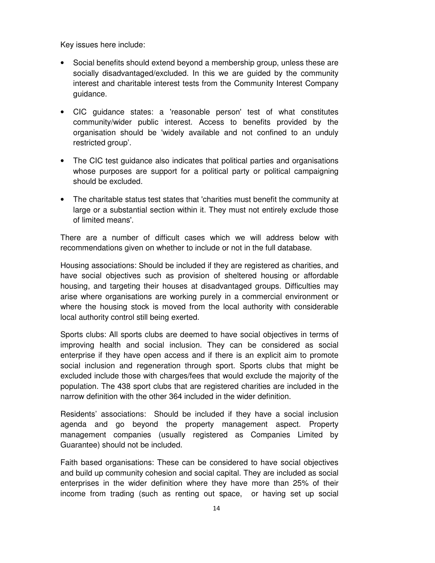Key issues here include:

- Social benefits should extend beyond a membership group, unless these are socially disadvantaged/excluded. In this we are guided by the community interest and charitable interest tests from the Community Interest Company guidance.
- CIC guidance states: a 'reasonable person' test of what constitutes community/wider public interest. Access to benefits provided by the organisation should be 'widely available and not confined to an unduly restricted group'.
- The CIC test guidance also indicates that political parties and organisations whose purposes are support for a political party or political campaigning should be excluded.
- The charitable status test states that 'charities must benefit the community at large or a substantial section within it. They must not entirely exclude those of limited means'.

There are a number of difficult cases which we will address below with recommendations given on whether to include or not in the full database.

Housing associations: Should be included if they are registered as charities, and have social objectives such as provision of sheltered housing or affordable housing, and targeting their houses at disadvantaged groups. Difficulties may arise where organisations are working purely in a commercial environment or where the housing stock is moved from the local authority with considerable local authority control still being exerted.

Sports clubs: All sports clubs are deemed to have social objectives in terms of improving health and social inclusion. They can be considered as social enterprise if they have open access and if there is an explicit aim to promote social inclusion and regeneration through sport. Sports clubs that might be excluded include those with charges/fees that would exclude the majority of the population. The 438 sport clubs that are registered charities are included in the narrow definition with the other 364 included in the wider definition.

Residents' associations: Should be included if they have a social inclusion agenda and go beyond the property management aspect. Property management companies (usually registered as Companies Limited by Guarantee) should not be included.

Faith based organisations: These can be considered to have social objectives and build up community cohesion and social capital. They are included as social enterprises in the wider definition where they have more than 25% of their income from trading (such as renting out space, or having set up social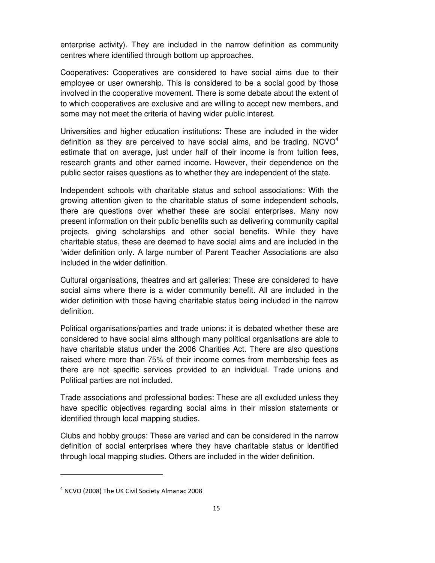enterprise activity). They are included in the narrow definition as community centres where identified through bottom up approaches.

Cooperatives: Cooperatives are considered to have social aims due to their employee or user ownership. This is considered to be a social good by those involved in the cooperative movement. There is some debate about the extent of to which cooperatives are exclusive and are willing to accept new members, and some may not meet the criteria of having wider public interest.

Universities and higher education institutions: These are included in the wider definition as they are perceived to have social aims, and be trading.  $NCVO<sup>4</sup>$ estimate that on average, just under half of their income is from tuition fees, research grants and other earned income. However, their dependence on the public sector raises questions as to whether they are independent of the state.

Independent schools with charitable status and school associations: With the growing attention given to the charitable status of some independent schools, there are questions over whether these are social enterprises. Many now present information on their public benefits such as delivering community capital projects, giving scholarships and other social benefits. While they have charitable status, these are deemed to have social aims and are included in the 'wider definition only. A large number of Parent Teacher Associations are also included in the wider definition.

Cultural organisations, theatres and art galleries: These are considered to have social aims where there is a wider community benefit. All are included in the wider definition with those having charitable status being included in the narrow definition.

Political organisations/parties and trade unions: it is debated whether these are considered to have social aims although many political organisations are able to have charitable status under the 2006 Charities Act. There are also questions raised where more than 75% of their income comes from membership fees as there are not specific services provided to an individual. Trade unions and Political parties are not included.

Trade associations and professional bodies: These are all excluded unless they have specific objectives regarding social aims in their mission statements or identified through local mapping studies.

Clubs and hobby groups: These are varied and can be considered in the narrow definition of social enterprises where they have charitable status or identified through local mapping studies. Others are included in the wider definition.

l

<sup>&</sup>lt;sup>4</sup> NCVO (2008) The UK Civil Society Almanac 2008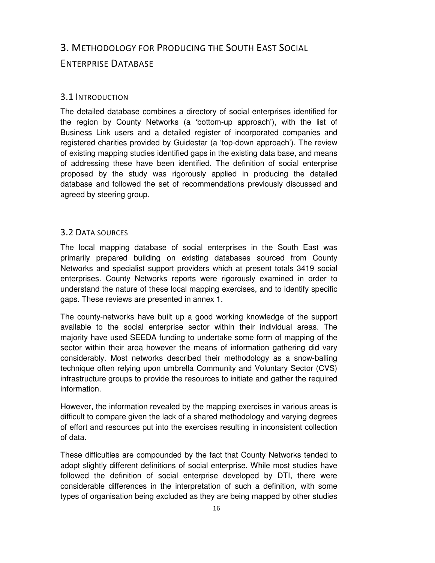# <span id="page-15-0"></span>3. METHODOLOGY FOR PRODUCING THE SOUTH EAST SOCIAL ENTERPRISE DATABASE

# 3.1 INTRODUCTION

The detailed database combines a directory of social enterprises identified for the region by County Networks (a 'bottom-up approach'), with the list of Business Link users and a detailed register of incorporated companies and registered charities provided by Guidestar (a 'top-down approach'). The review of existing mapping studies identified gaps in the existing data base, and means of addressing these have been identified. The definition of social enterprise proposed by the study was rigorously applied in producing the detailed database and followed the set of recommendations previously discussed and agreed by steering group.

# 3.2 DATA SOURCES

The local mapping database of social enterprises in the South East was primarily prepared building on existing databases sourced from County Networks and specialist support providers which at present totals 3419 social enterprises. County Networks reports were rigorously examined in order to understand the nature of these local mapping exercises, and to identify specific gaps. These reviews are presented in annex 1.

The county-networks have built up a good working knowledge of the support available to the social enterprise sector within their individual areas. The majority have used SEEDA funding to undertake some form of mapping of the sector within their area however the means of information gathering did vary considerably. Most networks described their methodology as a snow-balling technique often relying upon umbrella Community and Voluntary Sector (CVS) infrastructure groups to provide the resources to initiate and gather the required information.

However, the information revealed by the mapping exercises in various areas is difficult to compare given the lack of a shared methodology and varying degrees of effort and resources put into the exercises resulting in inconsistent collection of data.

These difficulties are compounded by the fact that County Networks tended to adopt slightly different definitions of social enterprise. While most studies have followed the definition of social enterprise developed by DTI, there were considerable differences in the interpretation of such a definition, with some types of organisation being excluded as they are being mapped by other studies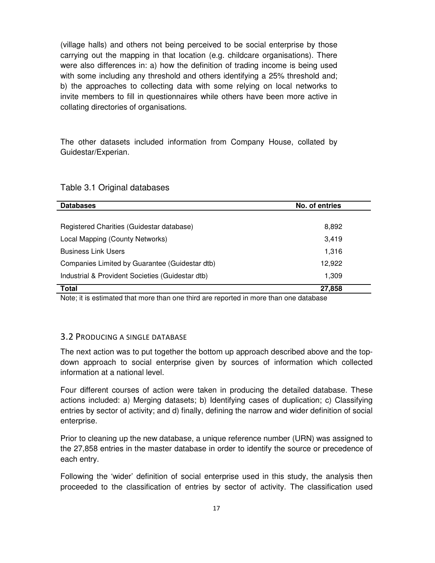<span id="page-16-0"></span>(village halls) and others not being perceived to be social enterprise by those carrying out the mapping in that location (e.g. childcare organisations). There were also differences in: a) how the definition of trading income is being used with some including any threshold and others identifying a 25% threshold and; b) the approaches to collecting data with some relying on local networks to invite members to fill in questionnaires while others have been more active in collating directories of organisations.

The other datasets included information from Company House, collated by Guidestar/Experian.

| <b>Databases</b>                                 | No. of entries |  |
|--------------------------------------------------|----------------|--|
|                                                  |                |  |
| Registered Charities (Guidestar database)        | 8,892          |  |
| Local Mapping (County Networks)                  | 3.419          |  |
| <b>Business Link Users</b>                       | 1,316          |  |
| Companies Limited by Guarantee (Guidestar dtb)   | 12,922         |  |
| Industrial & Provident Societies (Guidestar dtb) | 1,309          |  |
| Total                                            | 27,858         |  |

# Table 3.1 Original databases

Note; it is estimated that more than one third are reported in more than one database

#### 3.2 PRODUCING A SINGLE DATABASE

The next action was to put together the bottom up approach described above and the topdown approach to social enterprise given by sources of information which collected information at a national level.

Four different courses of action were taken in producing the detailed database. These actions included: a) Merging datasets; b) Identifying cases of duplication; c) Classifying entries by sector of activity; and d) finally, defining the narrow and wider definition of social enterprise.

Prior to cleaning up the new database, a unique reference number (URN) was assigned to the 27,858 entries in the master database in order to identify the source or precedence of each entry.

Following the 'wider' definition of social enterprise used in this study, the analysis then proceeded to the classification of entries by sector of activity. The classification used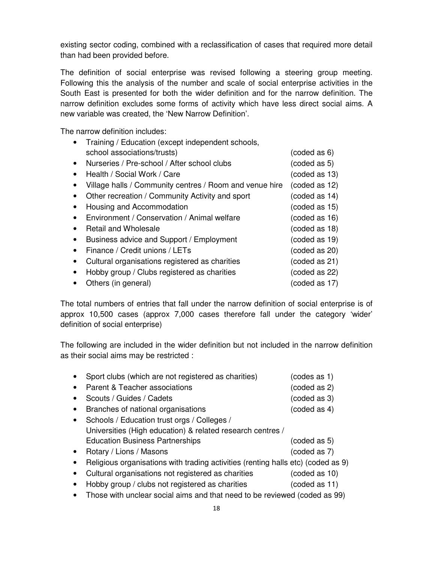existing sector coding, combined with a reclassification of cases that required more detail than had been provided before.

The definition of social enterprise was revised following a steering group meeting. Following this the analysis of the number and scale of social enterprise activities in the South East is presented for both the wider definition and for the narrow definition. The narrow definition excludes some forms of activity which have less direct social aims. A new variable was created, the 'New Narrow Definition'.

The narrow definition includes:

|           | Training / Education (except independent schools,       |               |
|-----------|---------------------------------------------------------|---------------|
|           | school associations/trusts)                             | (coded as 6)  |
| $\bullet$ | Nurseries / Pre-school / After school clubs             | (coded as 5)  |
| $\bullet$ | Health / Social Work / Care                             | (coded as 13) |
|           | Village halls / Community centres / Room and venue hire | (coded as 12) |
| $\bullet$ | Other recreation / Community Activity and sport         | (coded as 14) |
| $\bullet$ | Housing and Accommodation                               | (coded as 15) |
|           | Environment / Conservation / Animal welfare             | (coded as 16) |
| $\bullet$ | <b>Retail and Wholesale</b>                             | (coded as 18) |
| $\bullet$ | Business advice and Support / Employment                | (coded as 19) |
| $\bullet$ | Finance / Credit unions / LETs                          | (coded as 20) |
| $\bullet$ | Cultural organisations registered as charities          | (coded as 21) |
| ٠         | Hobby group / Clubs registered as charities             | (coded as 22) |
|           | Others (in general)                                     | (coded as 17) |

The total numbers of entries that fall under the narrow definition of social enterprise is of approx 10,500 cases (approx 7,000 cases therefore fall under the category 'wider' definition of social enterprise)

The following are included in the wider definition but not included in the narrow definition as their social aims may be restricted :

| $\bullet$ | Sport clubs (which are not registered as charities)                              | (codes as 1) |
|-----------|----------------------------------------------------------------------------------|--------------|
| $\bullet$ | Parent & Teacher associations                                                    | (coded as 2) |
| $\bullet$ | Scouts / Guides / Cadets                                                         | (coded as 3) |
| $\bullet$ | Branches of national organisations                                               | (coded as 4) |
| $\bullet$ | Schools / Education trust orgs / Colleges /                                      |              |
|           | Universities (High education) & related research centres /                       |              |
|           | <b>Education Business Partnerships</b>                                           | (coded as 5) |
| $\bullet$ | Rotary / Lions / Masons                                                          | (coded as 7) |
| $\bullet$ | Religious organisations with trading activities (renting halls etc) (coded as 9) |              |

- Cultural organisations not registered as charities (coded as 10)
- Hobby group / clubs not registered as charities (coded as 11)
- Those with unclear social aims and that need to be reviewed (coded as 99)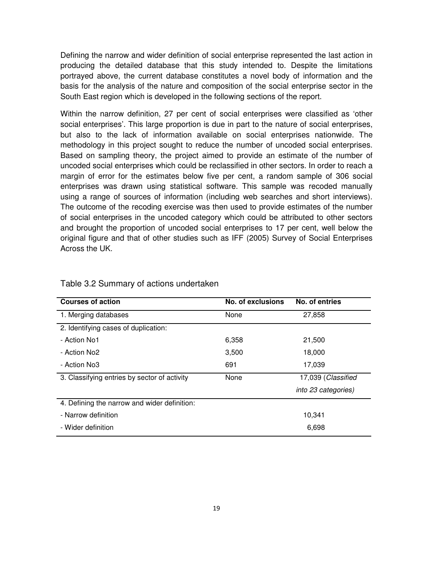Defining the narrow and wider definition of social enterprise represented the last action in producing the detailed database that this study intended to. Despite the limitations portrayed above, the current database constitutes a novel body of information and the basis for the analysis of the nature and composition of the social enterprise sector in the South East region which is developed in the following sections of the report.

Within the narrow definition, 27 per cent of social enterprises were classified as 'other social enterprises'. This large proportion is due in part to the nature of social enterprises, but also to the lack of information available on social enterprises nationwide. The methodology in this project sought to reduce the number of uncoded social enterprises. Based on sampling theory, the project aimed to provide an estimate of the number of uncoded social enterprises which could be reclassified in other sectors. In order to reach a margin of error for the estimates below five per cent, a random sample of 306 social enterprises was drawn using statistical software. This sample was recoded manually using a range of sources of information (including web searches and short interviews). The outcome of the recoding exercise was then used to provide estimates of the number of social enterprises in the uncoded category which could be attributed to other sectors and brought the proportion of uncoded social enterprises to 17 per cent, well below the original figure and that of other studies such as IFF (2005) Survey of Social Enterprises Across the UK.

| <b>Courses of action</b>                     | No. of exclusions | No. of entries      |
|----------------------------------------------|-------------------|---------------------|
| 1. Merging databases                         | None              | 27,858              |
| 2. Identifying cases of duplication:         |                   |                     |
| - Action No1                                 | 6,358             | 21,500              |
| - Action No2                                 | 3,500             | 18,000              |
| - Action No3                                 | 691               | 17,039              |
| 3. Classifying entries by sector of activity | None              | 17,039 (Classified  |
|                                              |                   | into 23 categories) |
| 4. Defining the narrow and wider definition: |                   |                     |
| - Narrow definition                          |                   | 10.341              |
| - Wider definition                           |                   | 6,698               |

#### Table 3.2 Summary of actions undertaken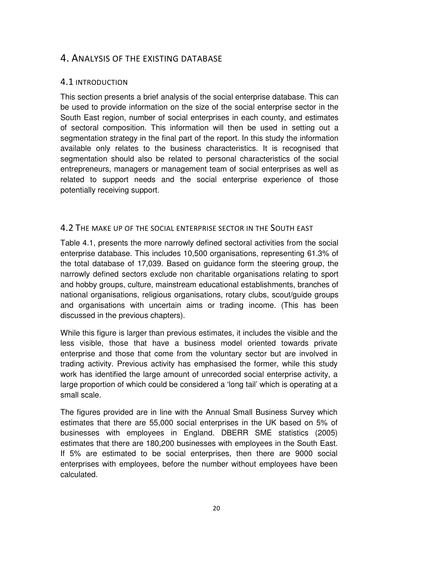# <span id="page-19-0"></span>4. ANALYSIS OF THE EXISTING DATABASE

# 4.1 INTRODUCTION

This section presents a brief analysis of the social enterprise database. This can be used to provide information on the size of the social enterprise sector in the South East region, number of social enterprises in each county, and estimates of sectoral composition. This information will then be used in setting out a segmentation strategy in the final part of the report. In this study the information available only relates to the business characteristics. It is recognised that segmentation should also be related to personal characteristics of the social entrepreneurs, managers or management team of social enterprises as well as related to support needs and the social enterprise experience of those potentially receiving support.

# 4.2 THE MAKE UP OF THE SOCIAL ENTERPRISE SECTOR IN THE SOUTH EAST

Table 4.1, presents the more narrowly defined sectoral activities from the social enterprise database. This includes 10,500 organisations, representing 61.3% of the total database of 17,039. Based on guidance form the steering group, the narrowly defined sectors exclude non charitable organisations relating to sport and hobby groups, culture, mainstream educational establishments, branches of national organisations, religious organisations, rotary clubs, scout/guide groups and organisations with uncertain aims or trading income. (This has been discussed in the previous chapters).

While this figure is larger than previous estimates, it includes the visible and the less visible, those that have a business model oriented towards private enterprise and those that come from the voluntary sector but are involved in trading activity. Previous activity has emphasised the former, while this study work has identified the large amount of unrecorded social enterprise activity, a large proportion of which could be considered a 'long tail' which is operating at a small scale.

The figures provided are in line with the Annual Small Business Survey which estimates that there are 55,000 social enterprises in the UK based on 5% of businesses with employees in England. DBERR SME statistics (2005) estimates that there are 180,200 businesses with employees in the South East. If 5% are estimated to be social enterprises, then there are 9000 social enterprises with employees, before the number without employees have been calculated.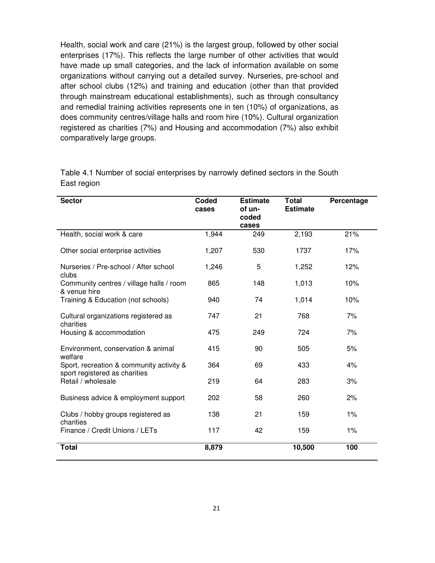Health, social work and care (21%) is the largest group, followed by other social enterprises (17%). This reflects the large number of other activities that would have made up small categories, and the lack of information available on some organizations without carrying out a detailed survey. Nurseries, pre-school and after school clubs (12%) and training and education (other than that provided through mainstream educational establishments), such as through consultancy and remedial training activities represents one in ten (10%) of organizations, as does community centres/village halls and room hire (10%). Cultural organization registered as charities (7%) and Housing and accommodation (7%) also exhibit comparatively large groups.

| <b>Sector</b>                                                             | Coded<br>cases | <b>Estimate</b><br>of un-<br>coded<br>cases | <b>Total</b><br><b>Estimate</b> | Percentage |
|---------------------------------------------------------------------------|----------------|---------------------------------------------|---------------------------------|------------|
| Health, social work & care                                                | 1,944          | 249                                         | 2,193                           | 21%        |
| Other social enterprise activities                                        | 1,207          | 530                                         | 1737                            | 17%        |
| Nurseries / Pre-school / After school<br>clubs                            | 1,246          | 5                                           | 1,252                           | 12%        |
| Community centres / village halls / room<br>& venue hire                  | 865            | 148                                         | 1,013                           | 10%        |
| Training & Education (not schools)                                        | 940            | 74                                          | 1,014                           | 10%        |
| Cultural organizations registered as<br>charities                         | 747            | 21                                          | 768                             | 7%         |
| Housing & accommodation                                                   | 475            | 249                                         | 724                             | 7%         |
| Environment, conservation & animal<br>welfare                             | 415            | 90                                          | 505                             | 5%         |
| Sport, recreation & community activity &<br>sport registered as charities | 364            | 69                                          | 433                             | 4%         |
| Retail / wholesale                                                        | 219            | 64                                          | 283                             | 3%         |
| Business advice & employment support                                      | 202            | 58                                          | 260                             | 2%         |
| Clubs / hobby groups registered as<br>charities                           | 138            | 21                                          | 159                             | 1%         |
| Finance / Credit Unions / LETs                                            | 117            | 42                                          | 159                             | 1%         |
| <b>Total</b>                                                              | 8,879          |                                             | 10,500                          | 100        |

Table 4.1 Number of social enterprises by narrowly defined sectors in the South East region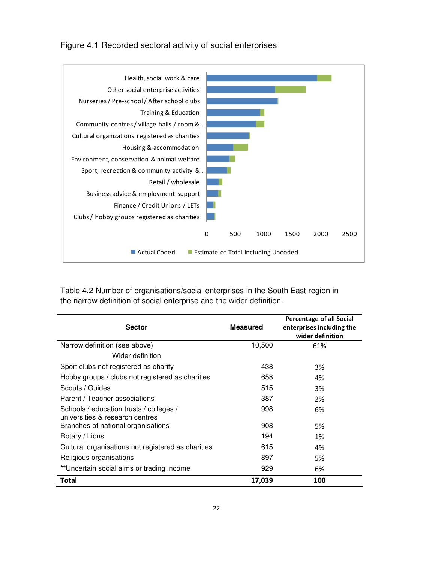Figure 4.1 Recorded sectoral activity of social enterprises



Table 4.2 Number of organisations/social enterprises in the South East region in the narrow definition of social enterprise and the wider definition.

| <b>Sector</b>                                                              | <b>Measured</b> | <b>Percentage of all Social</b><br>enterprises including the<br>wider definition |
|----------------------------------------------------------------------------|-----------------|----------------------------------------------------------------------------------|
| Narrow definition (see above)                                              | 10,500          | 61%                                                                              |
| Wider definition                                                           |                 |                                                                                  |
| Sport clubs not registered as charity                                      | 438             | 3%                                                                               |
| Hobby groups / clubs not registered as charities                           | 658             | 4%                                                                               |
| Scouts / Guides                                                            | 515             | 3%                                                                               |
| Parent / Teacher associations                                              | 387             | 2%                                                                               |
| Schools / education trusts / colleges /<br>universities & research centres | 998             | 6%                                                                               |
| Branches of national organisations                                         | 908             | 5%                                                                               |
| Rotary / Lions                                                             | 194             | 1%                                                                               |
| Cultural organisations not registered as charities                         | 615             | 4%                                                                               |
| Religious organisations                                                    | 897             | 5%                                                                               |
| **Uncertain social aims or trading income                                  | 929             | 6%                                                                               |
| <b>Total</b>                                                               | 17,039          | 100                                                                              |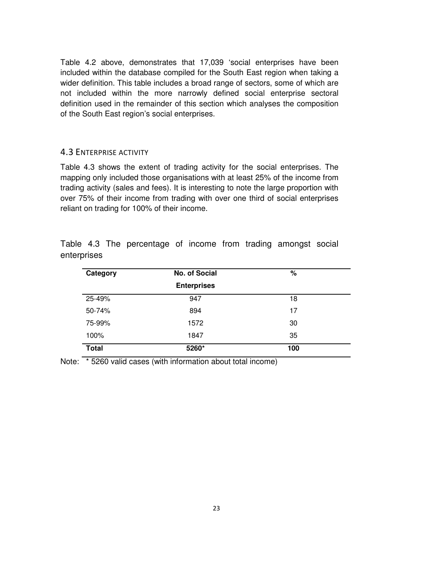<span id="page-22-0"></span>Table 4.2 above, demonstrates that 17,039 'social enterprises have been included within the database compiled for the South East region when taking a wider definition. This table includes a broad range of sectors, some of which are not included within the more narrowly defined social enterprise sectoral definition used in the remainder of this section which analyses the composition of the South East region's social enterprises.

#### 4.3 ENTERPRISE ACTIVITY

Table 4.3 shows the extent of trading activity for the social enterprises. The mapping only included those organisations with at least 25% of the income from trading activity (sales and fees). It is interesting to note the large proportion with over 75% of their income from trading with over one third of social enterprises reliant on trading for 100% of their income.

| Category     | No. of Social      | %   |  |
|--------------|--------------------|-----|--|
|              | <b>Enterprises</b> |     |  |
| 25-49%       | 947                | 18  |  |
| 50-74%       | 894                | 17  |  |
| 75-99%       | 1572               | 30  |  |
| 100%         | 1847               | 35  |  |
| <b>Total</b> | 5260*              | 100 |  |

Table 4.3 The percentage of income from trading amongst social enterprises

Note: \* 5260 valid cases (with information about total income)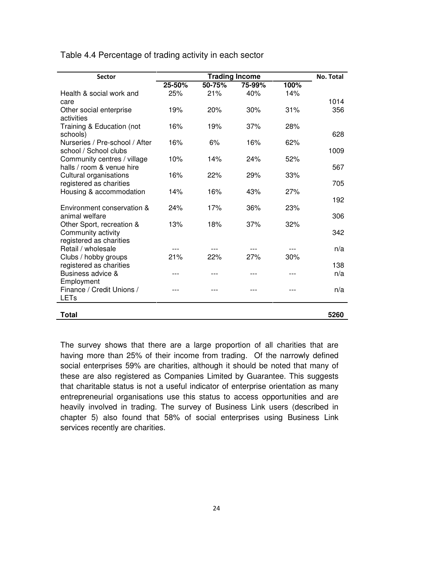Table 4.4 Percentage of trading activity in each sector

| <b>Sector</b>                                            | <b>Trading Income</b> |        |        | <b>No. Total</b> |      |
|----------------------------------------------------------|-----------------------|--------|--------|------------------|------|
|                                                          | 25-50%                | 50-75% | 75-99% | 100%             |      |
| Health & social work and                                 | 25%                   | 21%    | 40%    | 14%              |      |
| care                                                     |                       |        |        |                  | 1014 |
| Other social enterprise<br>activities                    | 19%                   | 20%    | 30%    | 31%              | 356  |
| Training & Education (not<br>schools)                    | 16%                   | 19%    | 37%    | 28%              | 628  |
| Nurseries / Pre-school / After<br>school / School clubs  | 16%                   | 6%     | 16%    | 62%              | 1009 |
| Community centres / village<br>halls / room & venue hire | 10%                   | 14%    | 24%    | 52%              | 567  |
| Cultural organisations<br>registered as charities        | 16%                   | 22%    | 29%    | 33%              | 705  |
| Housing & accommodation                                  | 14%                   | 16%    | 43%    | 27%              | 192  |
| Environment conservation &<br>animal welfare             | 24%                   | 17%    | 36%    | 23%              | 306  |
| Other Sport, recreation &<br>Community activity          | 13%                   | 18%    | 37%    | 32%              | 342  |
| registered as charities<br>Retail / wholesale            |                       |        |        |                  | n/a  |
| Clubs / hobby groups<br>registered as charities          | 21%                   | 22%    | 27%    | 30%              | 138  |
| Business advice &<br>Employment                          | ---                   |        |        |                  | n/a  |
| Finance / Credit Unions /<br>LETs                        |                       |        |        |                  | n/a  |
| <b>Total</b>                                             |                       |        |        |                  | 5260 |

The survey shows that there are a large proportion of all charities that are having more than 25% of their income from trading. Of the narrowly defined social enterprises 59% are charities, although it should be noted that many of these are also registered as Companies Limited by Guarantee. This suggests that charitable status is not a useful indicator of enterprise orientation as many entrepreneurial organisations use this status to access opportunities and are heavily involved in trading. The survey of Business Link users (described in chapter 5) also found that 58% of social enterprises using Business Link services recently are charities.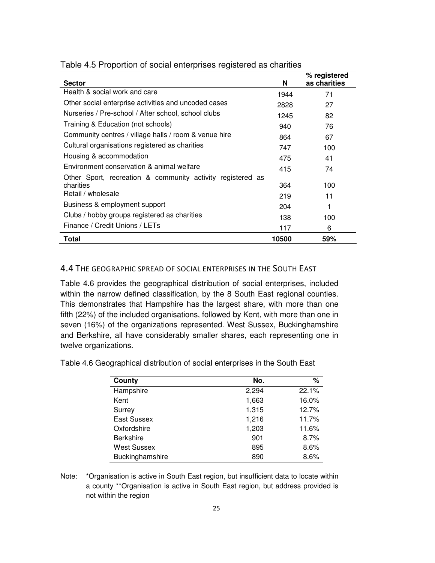| <b>Sector</b>                                              | N     | % registered<br>as charities |
|------------------------------------------------------------|-------|------------------------------|
| Health & social work and care                              | 1944  | 71                           |
| Other social enterprise activities and uncoded cases       | 2828  | 27                           |
| Nurseries / Pre-school / After school, school clubs        | 1245  | 82                           |
| Training & Education (not schools)                         | 940   | 76                           |
| Community centres / village halls / room & venue hire      | 864   | 67                           |
| Cultural organisations registered as charities             | 747   | 100                          |
| Housing & accommodation                                    | 475   | 41                           |
| Environment conservation & animal welfare                  | 415   | 74                           |
| Other Sport, recreation & community activity registered as |       |                              |
| charities                                                  | 364   | 100                          |
| Retail / wholesale                                         | 219   | 11                           |
| Business & employment support                              | 204   | 1                            |
| Clubs / hobby groups registered as charities               | 138   | 100                          |
| Finance / Credit Unions / LETs                             | 117   | 6                            |
| Total                                                      | 10500 | 59%                          |

#### <span id="page-24-0"></span>Table 4.5 Proportion of social enterprises registered as charities

#### 4.4 THE GEOGRAPHIC SPREAD OF SOCIAL ENTERPRISES IN THE SOUTH EAST

Table 4.6 provides the geographical distribution of social enterprises, included within the narrow defined classification, by the 8 South East regional counties. This demonstrates that Hampshire has the largest share, with more than one fifth (22%) of the included organisations, followed by Kent, with more than one in seven (16%) of the organizations represented. West Sussex, Buckinghamshire and Berkshire, all have considerably smaller shares, each representing one in twelve organizations.

Table 4.6 Geographical distribution of social enterprises in the South East

| County             | No.   | %     |
|--------------------|-------|-------|
| Hampshire          | 2,294 | 22.1% |
| Kent               | 1,663 | 16.0% |
| Surrey             | 1,315 | 12.7% |
| <b>East Sussex</b> | 1,216 | 11.7% |
| Oxfordshire        | 1,203 | 11.6% |
| <b>Berkshire</b>   | 901   | 8.7%  |
| <b>West Sussex</b> | 895   | 8.6%  |
| Buckinghamshire    | 890   | 8.6%  |

Note: \*Organisation is active in South East region, but insufficient data to locate within a county \*\*Organisation is active in South East region, but address provided is not within the region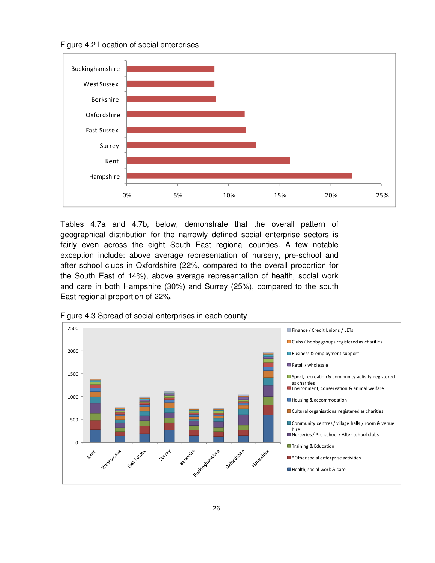Figure 4.2 Location of social enterprises



Tables 4.7a and 4.7b, below, demonstrate that the overall pattern of geographical distribution for the narrowly defined social enterprise sectors is fairly even across the eight South East regional counties. A few notable exception include: above average representation of nursery, pre-school and after school clubs in Oxfordshire (22%, compared to the overall proportion for the South East of 14%), above average representation of health, social work and care in both Hampshire (30%) and Surrey (25%), compared to the south East regional proportion of 22%.



Figure 4.3 Spread of social enterprises in each county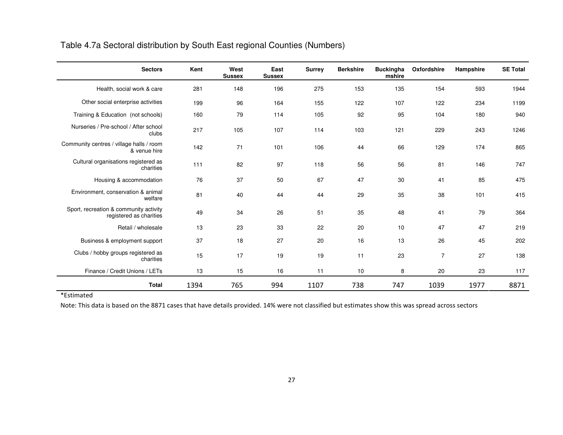# Table 4.7a Sectoral distribution by South East regional Counties (Numbers)

| <b>Sectors</b>                                                    | Kent | West<br><b>Sussex</b> | East<br><b>Sussex</b> | <b>Surrey</b> | <b>Berkshire</b> | <b>Buckingha</b><br>mshire | Oxfordshire    | Hampshire | <b>SE Total</b> |
|-------------------------------------------------------------------|------|-----------------------|-----------------------|---------------|------------------|----------------------------|----------------|-----------|-----------------|
| Health, social work & care                                        | 281  | 148                   | 196                   | 275           | 153              | 135                        | 154            | 593       | 1944            |
| Other social enterprise activities                                | 199  | 96                    | 164                   | 155           | 122              | 107                        | 122            | 234       | 1199            |
| Training & Education (not schools)                                | 160  | 79                    | 114                   | 105           | 92               | 95                         | 104            | 180       | 940             |
| Nurseries / Pre-school / After school<br>clubs                    | 217  | 105                   | 107                   | 114           | 103              | 121                        | 229            | 243       | 1246            |
| Community centres / village halls / room<br>& venue hire          | 142  | 71                    | 101                   | 106           | 44               | 66                         | 129            | 174       | 865             |
| Cultural organisations registered as<br>charities                 | 111  | 82                    | 97                    | 118           | 56               | 56                         | 81             | 146       | 747             |
| Housing & accommodation                                           | 76   | 37                    | 50                    | 67            | 47               | 30                         | 41             | 85        | 475             |
| Environment, conservation & animal<br>welfare                     | 81   | 40                    | 44                    | 44            | 29               | 35                         | 38             | 101       | 415             |
| Sport, recreation & community activity<br>registered as charities | 49   | 34                    | 26                    | 51            | 35               | 48                         | 41             | 79        | 364             |
| Retail / wholesale                                                | 13   | 23                    | 33                    | 22            | 20               | 10                         | 47             | 47        | 219             |
| Business & employment support                                     | 37   | 18                    | 27                    | 20            | 16               | 13                         | 26             | 45        | 202             |
| Clubs / hobby groups registered as<br>charities                   | 15   | 17                    | 19                    | 19            | 11               | 23                         | $\overline{7}$ | 27        | 138             |
| Finance / Credit Unions / LETs                                    | 13   | 15                    | 16                    | 11            | 10               | 8                          | 20             | 23        | 117             |
| <b>Total</b>                                                      | 1394 | 765                   | 994                   | 1107          | 738              | 747                        | 1039           | 1977      | 8871            |

\*Estimated

Note: This data is based on the 8871 cases that have details provided. 14% were not classified but estimates show this was spread across sectors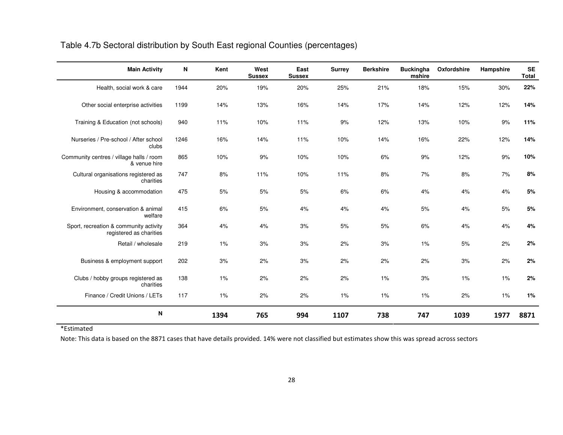| Table 4.7b Sectoral distribution by South East regional Counties (percentages) |  |
|--------------------------------------------------------------------------------|--|
|                                                                                |  |

| <b>Main Activity</b>                                              | ${\sf N}$ | Kent | West<br><b>Sussex</b> | East<br><b>Sussex</b> | <b>Surrey</b> | <b>Berkshire</b> | <b>Buckingha</b><br>mshire | Oxfordshire | Hampshire | <b>SE</b><br><b>Total</b> |
|-------------------------------------------------------------------|-----------|------|-----------------------|-----------------------|---------------|------------------|----------------------------|-------------|-----------|---------------------------|
| Health, social work & care                                        | 1944      | 20%  | 19%                   | 20%                   | 25%           | 21%              | 18%                        | 15%         | 30%       | 22%                       |
| Other social enterprise activities                                | 1199      | 14%  | 13%                   | 16%                   | 14%           | 17%              | 14%                        | 12%         | 12%       | 14%                       |
| Training & Education (not schools)                                | 940       | 11%  | 10%                   | 11%                   | 9%            | 12%              | 13%                        | 10%         | 9%        | 11%                       |
| Nurseries / Pre-school / After school<br>clubs                    | 1246      | 16%  | 14%                   | 11%                   | 10%           | 14%              | 16%                        | 22%         | 12%       | 14%                       |
| Community centres / village halls / room<br>& venue hire          | 865       | 10%  | 9%                    | 10%                   | 10%           | 6%               | 9%                         | 12%         | 9%        | 10%                       |
| Cultural organisations registered as<br>charities                 | 747       | 8%   | 11%                   | 10%                   | 11%           | 8%               | 7%                         | 8%          | 7%        | 8%                        |
| Housing & accommodation                                           | 475       | 5%   | 5%                    | 5%                    | 6%            | 6%               | 4%                         | 4%          | 4%        | 5%                        |
| Environment, conservation & animal<br>welfare                     | 415       | 6%   | 5%                    | 4%                    | 4%            | 4%               | 5%                         | 4%          | 5%        | 5%                        |
| Sport, recreation & community activity<br>registered as charities | 364       | 4%   | 4%                    | 3%                    | 5%            | 5%               | 6%                         | 4%          | 4%        | 4%                        |
| Retail / wholesale                                                | 219       | 1%   | 3%                    | 3%                    | 2%            | 3%               | 1%                         | 5%          | 2%        | 2%                        |
| Business & employment support                                     | 202       | 3%   | 2%                    | 3%                    | 2%            | 2%               | 2%                         | 3%          | 2%        | 2%                        |
| Clubs / hobby groups registered as<br>charities                   | 138       | 1%   | 2%                    | 2%                    | 2%            | 1%               | 3%                         | 1%          | 1%        | 2%                        |
| Finance / Credit Unions / LETs                                    | 117       | 1%   | 2%                    | 2%                    | 1%            | $1\%$            | 1%                         | 2%          | 1%        | 1%                        |
| N                                                                 |           | 1394 | 765                   | 994                   | 1107          | 738              | 747                        | 1039        | 1977      | 8871                      |

\*Estimated

Note: This data is based on the 8871 cases that have details provided. 14% were not classified but estimates show this was spread across sectors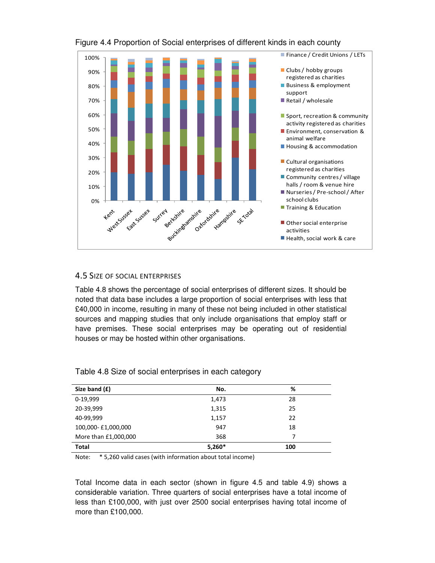

# <span id="page-28-0"></span>Figure 4.4 Proportion of Social enterprises of different kinds in each county

# 4.5 SIZE OF SOCIAL ENTERPRISES

Table 4.8 shows the percentage of social enterprises of different sizes. It should be noted that data base includes a large proportion of social enterprises with less that £40,000 in income, resulting in many of these not being included in other statistical sources and mapping studies that only include organisations that employ staff or have premises. These social enterprises may be operating out of residential houses or may be hosted within other organisations.

| Size band (£)        | No.      | %   |
|----------------------|----------|-----|
| 0-19,999             | 1,473    | 28  |
| 20-39,999            | 1,315    | 25  |
| 40-99,999            | 1,157    | 22  |
| 100,000-£1,000,000   | 947      | 18  |
| More than £1,000,000 | 368      | 7   |
| <b>Total</b>         | $5,260*$ | 100 |

Table 4.8 Size of social enterprises in each category

Note: \* 5,260 valid cases (with information about total income)

Total Income data in each sector (shown in figure 4.5 and table 4.9) shows a considerable variation. Three quarters of social enterprises have a total income of less than £100,000, with just over 2500 social enterprises having total income of more than £100,000.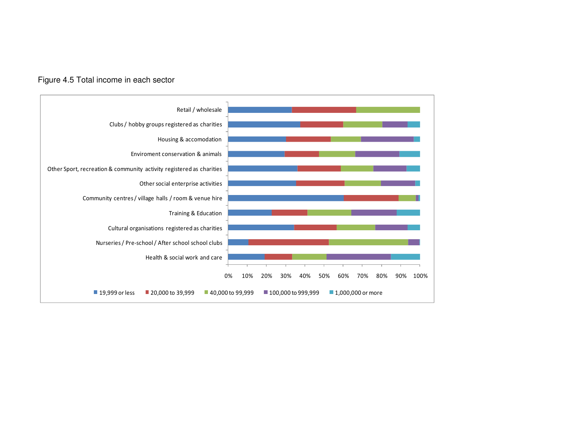#### Figure 4.5 Total income in each sector

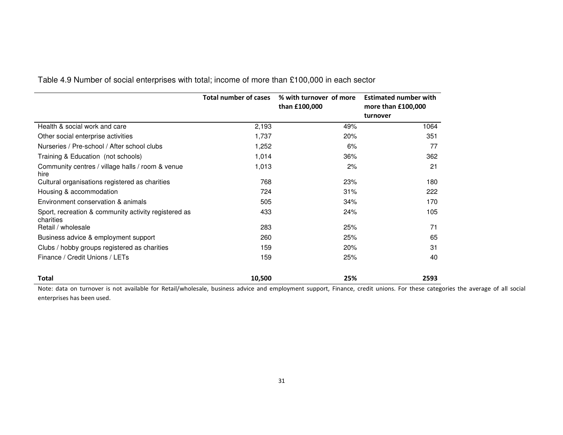|                                                                   | <b>Total number of cases</b> | % with turnover of more<br>than £100,000 | <b>Estimated number with</b><br>more than £100,000<br>turnover |
|-------------------------------------------------------------------|------------------------------|------------------------------------------|----------------------------------------------------------------|
| Health & social work and care                                     | 2,193                        | 49%                                      | 1064                                                           |
| Other social enterprise activities                                | 1,737                        | 20%                                      | 351                                                            |
| Nurseries / Pre-school / After school clubs                       | 1,252                        | 6%                                       | 77                                                             |
| Training & Education (not schools)                                | 1,014                        | 36%                                      | 362                                                            |
| Community centres / village halls / room & venue<br>hire          | 1,013                        | 2%                                       | 21                                                             |
| Cultural organisations registered as charities                    | 768                          | 23%                                      | 180                                                            |
| Housing & accommodation                                           | 724                          | 31%                                      | 222                                                            |
| Environment conservation & animals                                | 505                          | 34%                                      | 170                                                            |
| Sport, recreation & community activity registered as<br>charities | 433                          | 24%                                      | 105                                                            |
| Retail / wholesale                                                | 283                          | 25%                                      | 71                                                             |
| Business advice & employment support                              | 260                          | 25%                                      | 65                                                             |
| Clubs / hobby groups registered as charities                      | 159                          | 20%                                      | 31                                                             |
| Finance / Credit Unions / LETs                                    | 159                          | 25%                                      | 40                                                             |
| Total                                                             | 10,500                       | 25%                                      | 2593                                                           |

Table 4.9 Number of social enterprises with total; income of more than £100,000 in each sector

Note: data on turnover is not available for Retail/wholesale, business advice and employment support, Finance, credit unions. For these categories the average of all social enterprises has been used.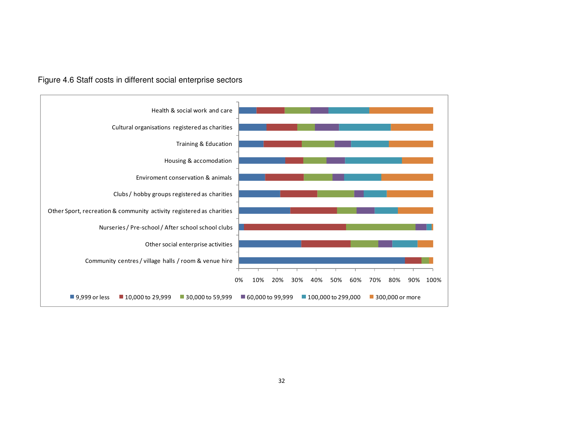

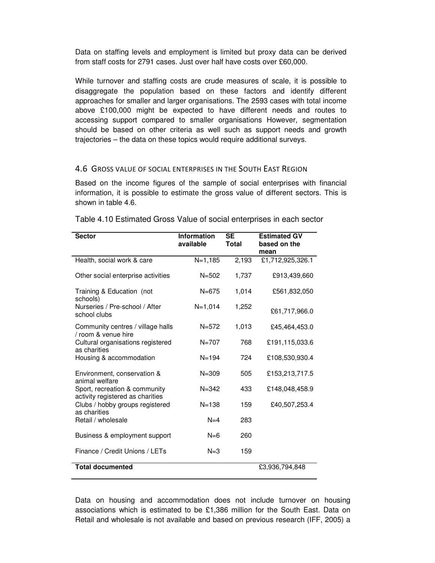<span id="page-32-0"></span>Data on staffing levels and employment is limited but proxy data can be derived from staff costs for 2791 cases. Just over half have costs over £60,000.

While turnover and staffing costs are crude measures of scale, it is possible to disaggregate the population based on these factors and identify different approaches for smaller and larger organisations. The 2593 cases with total income above £100,000 might be expected to have different needs and routes to accessing support compared to smaller organisations However, segmentation should be based on other criteria as well such as support needs and growth trajectories – the data on these topics would require additional surveys.

#### 4.6 GROSS VALUE OF SOCIAL ENTERPRISES IN THE SOUTH EAST REGION

Based on the income figures of the sample of social enterprises with financial information, it is possible to estimate the gross value of different sectors. This is shown in table 4.6.

| <b>Sector</b>                                                     | Information<br>available | <b>SE</b><br><b>Total</b> | <b>Estimated GV</b><br>based on the<br>mean |
|-------------------------------------------------------------------|--------------------------|---------------------------|---------------------------------------------|
| Health, social work & care                                        | $N=1,185$                | 2,193                     | £1,712,925,326.1                            |
| Other social enterprise activities                                | $N = 502$                | 1,737                     | £913,439,660                                |
| Training & Education (not<br>schools)                             | $N = 675$                | 1,014                     | £561,832,050                                |
| Nurseries / Pre-school / After<br>school clubs                    | $N=1,014$                | 1,252                     | £61,717,966.0                               |
| Community centres / village halls<br>/ room & venue hire          | $N = 572$                | 1,013                     | £45,464,453.0                               |
| Cultural organisations registered<br>as charities                 | $N = 707$                | 768                       | £191,115,033.6                              |
| Housing & accommodation                                           | $N = 194$                | 724                       | £108,530,930.4                              |
| Environment, conservation &<br>animal welfare                     | $N = 309$                | 505                       | £153,213,717.5                              |
| Sport, recreation & community<br>activity registered as charities | $N = 342$                | 433                       | £148,048,458.9                              |
| Clubs / hobby groups registered<br>as charities                   | $N = 138$                | 159                       | £40,507,253.4                               |
| Retail / wholesale                                                | $N=4$                    | 283                       |                                             |
| Business & employment support                                     | $N=6$                    | 260                       |                                             |
| Finance / Credit Unions / LETs                                    | $N = 3$                  | 159                       |                                             |
| <b>Total documented</b>                                           |                          |                           | £3,936,794,848                              |

Table 4.10 Estimated Gross Value of social enterprises in each sector

Data on housing and accommodation does not include turnover on housing associations which is estimated to be £1,386 million for the South East. Data on Retail and wholesale is not available and based on previous research (IFF, 2005) a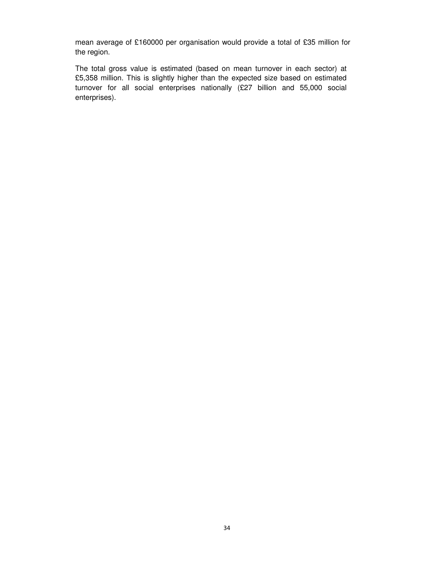mean average of £160000 per organisation would provide a total of £35 million for the region.

The total gross value is estimated (based on mean turnover in each sector) at £5,358 million. This is slightly higher than the expected size based on estimated turnover for all social enterprises nationally (£27 billion and 55,000 social enterprises).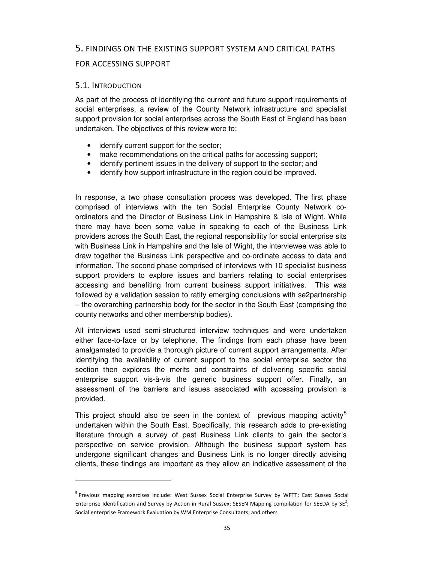# <span id="page-34-0"></span>5. FINDINGS ON THE EXISTING SUPPORT SYSTEM AND CRITICAL PATHS

# FOR ACCESSING SUPPORT

#### 5.1. INTRODUCTION

l

As part of the process of identifying the current and future support requirements of social enterprises, a review of the County Network infrastructure and specialist support provision for social enterprises across the South East of England has been undertaken. The objectives of this review were to:

- identify current support for the sector;
- make recommendations on the critical paths for accessing support;
- identify pertinent issues in the delivery of support to the sector; and
- identify how support infrastructure in the region could be improved.

In response, a two phase consultation process was developed. The first phase comprised of interviews with the ten Social Enterprise County Network coordinators and the Director of Business Link in Hampshire & Isle of Wight. While there may have been some value in speaking to each of the Business Link providers across the South East, the regional responsibility for social enterprise sits with Business Link in Hampshire and the Isle of Wight, the interviewee was able to draw together the Business Link perspective and co-ordinate access to data and information. The second phase comprised of interviews with 10 specialist business support providers to explore issues and barriers relating to social enterprises accessing and benefiting from current business support initiatives. This was followed by a validation session to ratify emerging conclusions with se2partnership – the overarching partnership body for the sector in the South East (comprising the county networks and other membership bodies).

All interviews used semi-structured interview techniques and were undertaken either face-to-face or by telephone. The findings from each phase have been amalgamated to provide a thorough picture of current support arrangements. After identifying the availability of current support to the social enterprise sector the section then explores the merits and constraints of delivering specific social enterprise support vis-à-vis the generic business support offer. Finally, an assessment of the barriers and issues associated with accessing provision is provided.

This project should also be seen in the context of previous mapping activity<sup>5</sup> undertaken within the South East. Specifically, this research adds to pre-existing literature through a survey of past Business Link clients to gain the sector's perspective on service provision. Although the business support system has undergone significant changes and Business Link is no longer directly advising clients, these findings are important as they allow an indicative assessment of the

<sup>&</sup>lt;sup>5</sup> Previous mapping exercises include: West Sussex Social Enterprise Survey by WFTT; East Sussex Social Enterprise Identification and Survey by Action in Rural Sussex; SESEN Mapping compilation for SEEDA by SE<sup>2</sup>; Social enterprise Framework Evaluation by WM Enterprise Consultants; and others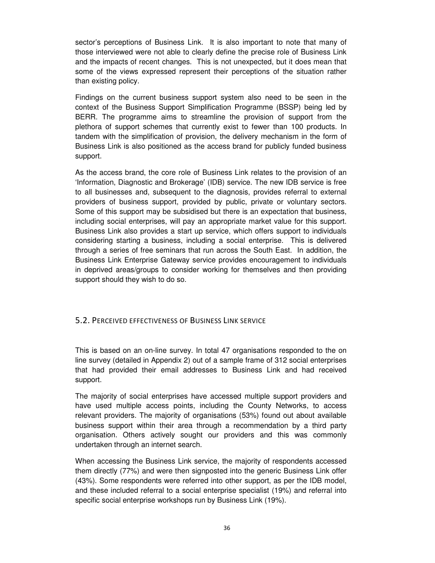<span id="page-35-0"></span>sector's perceptions of Business Link. It is also important to note that many of those interviewed were not able to clearly define the precise role of Business Link and the impacts of recent changes. This is not unexpected, but it does mean that some of the views expressed represent their perceptions of the situation rather than existing policy.

Findings on the current business support system also need to be seen in the context of the Business Support Simplification Programme (BSSP) being led by BERR. The programme aims to streamline the provision of support from the plethora of support schemes that currently exist to fewer than 100 products. In tandem with the simplification of provision, the delivery mechanism in the form of Business Link is also positioned as the access brand for publicly funded business support.

As the access brand, the core role of Business Link relates to the provision of an 'Information, Diagnostic and Brokerage' (IDB) service. The new IDB service is free to all businesses and, subsequent to the diagnosis, provides referral to external providers of business support, provided by public, private or voluntary sectors. Some of this support may be subsidised but there is an expectation that business, including social enterprises, will pay an appropriate market value for this support. Business Link also provides a start up service, which offers support to individuals considering starting a business, including a social enterprise. This is delivered through a series of free seminars that run across the South East. In addition, the Business Link Enterprise Gateway service provides encouragement to individuals in deprived areas/groups to consider working for themselves and then providing support should they wish to do so.

#### 5.2. PERCEIVED EFFECTIVENESS OF BUSINESS LINK SERVICE

This is based on an on-line survey. In total 47 organisations responded to the on line survey (detailed in Appendix 2) out of a sample frame of 312 social enterprises that had provided their email addresses to Business Link and had received support.

The majority of social enterprises have accessed multiple support providers and have used multiple access points, including the County Networks, to access relevant providers. The majority of organisations (53%) found out about available business support within their area through a recommendation by a third party organisation. Others actively sought our providers and this was commonly undertaken through an internet search.

When accessing the Business Link service, the majority of respondents accessed them directly (77%) and were then signposted into the generic Business Link offer (43%). Some respondents were referred into other support, as per the IDB model, and these included referral to a social enterprise specialist (19%) and referral into specific social enterprise workshops run by Business Link (19%).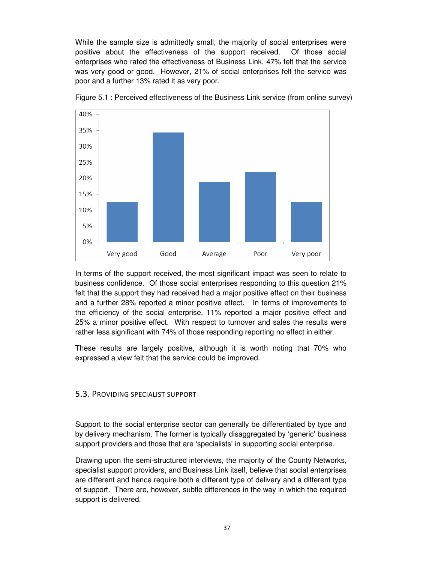<span id="page-36-0"></span>While the sample size is admittedly small, the majority of social enterprises were positive about the effectiveness of the support received. Of those social enterprises who rated the effectiveness of Business Link, 47% felt that the service was very good or good. However, 21% of social enterprises felt the service was poor and a further 13% rated it as very poor.



Figure 5.1 : Perceived effectiveness of the Business Link service (from online survey)

In terms of the support received, the most significant impact was seen to relate to business confidence. Of those social enterprises responding to this question 21% felt that the support they had received had a major positive effect on their business and a further 28% reported a minor positive effect. In terms of improvements to the efficiency of the social enterprise, 11% reported a major positive effect and 25% a minor positive effect. With respect to turnover and sales the results were rather less significant with 74% of those responding reporting no effect in either.

These results are largely positive, although it is worth noting that 70% who expressed a view felt that the service could be improved.

#### 5.3. PROVIDING SPECIALIST SUPPORT

Support to the social enterprise sector can generally be differentiated by type and by delivery mechanism. The former is typically disaggregated by 'generic' business support providers and those that are 'specialists' in supporting social enterprise.

Drawing upon the semi-structured interviews, the majority of the County Networks, specialist support providers, and Business Link itself, believe that social enterprises are different and hence require both a different type of delivery and a different type of support. There are, however, subtle differences in the way in which the required support is delivered.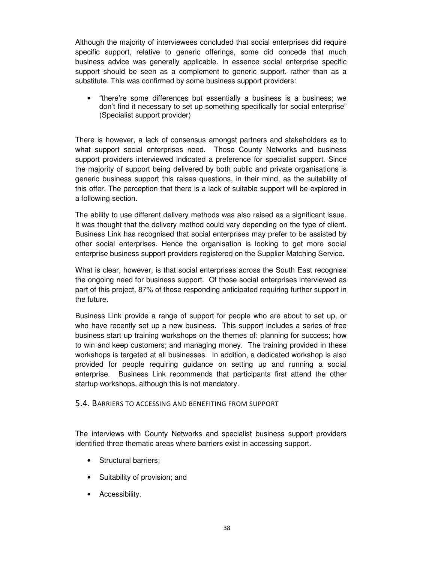<span id="page-37-0"></span>Although the majority of interviewees concluded that social enterprises did require specific support, relative to generic offerings, some did concede that much business advice was generally applicable. In essence social enterprise specific support should be seen as a complement to generic support, rather than as a substitute. This was confirmed by some business support providers:

• "there're some differences but essentially a business is a business; we don't find it necessary to set up something specifically for social enterprise" (Specialist support provider)

There is however, a lack of consensus amongst partners and stakeholders as to what support social enterprises need. Those County Networks and business support providers interviewed indicated a preference for specialist support. Since the majority of support being delivered by both public and private organisations is generic business support this raises questions, in their mind, as the suitability of this offer. The perception that there is a lack of suitable support will be explored in a following section.

The ability to use different delivery methods was also raised as a significant issue. It was thought that the delivery method could vary depending on the type of client. Business Link has recognised that social enterprises may prefer to be assisted by other social enterprises. Hence the organisation is looking to get more social enterprise business support providers registered on the Supplier Matching Service.

What is clear, however, is that social enterprises across the South East recognise the ongoing need for business support. Of those social enterprises interviewed as part of this project, 87% of those responding anticipated requiring further support in the future.

Business Link provide a range of support for people who are about to set up, or who have recently set up a new business. This support includes a series of free business start up training workshops on the themes of: planning for success; how to win and keep customers; and managing money. The training provided in these workshops is targeted at all businesses. In addition, a dedicated workshop is also provided for people requiring guidance on setting up and running a social enterprise. Business Link recommends that participants first attend the other startup workshops, although this is not mandatory.

#### 5.4. BARRIERS TO ACCESSING AND BENEFITING FROM SUPPORT

The interviews with County Networks and specialist business support providers identified three thematic areas where barriers exist in accessing support.

- Structural barriers;
- Suitability of provision; and
- Accessibility.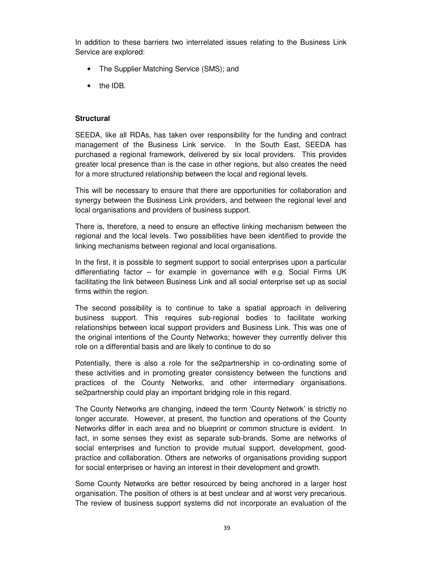In addition to these barriers two interrelated issues relating to the Business Link Service are explored:

- The Supplier Matching Service (SMS); and
- the IDB.

#### **Structural**

SEEDA, like all RDAs, has taken over responsibility for the funding and contract management of the Business Link service. In the South East, SEEDA has purchased a regional framework, delivered by six local providers. This provides greater local presence than is the case in other regions, but also creates the need for a more structured relationship between the local and regional levels.

This will be necessary to ensure that there are opportunities for collaboration and synergy between the Business Link providers, and between the regional level and local organisations and providers of business support.

There is, therefore, a need to ensure an effective linking mechanism between the regional and the local levels. Two possibilities have been identified to provide the linking mechanisms between regional and local organisations.

In the first, it is possible to segment support to social enterprises upon a particular differentiating factor – for example in governance with e.g. Social Firms UK facilitating the link between Business Link and all social enterprise set up as social firms within the region.

The second possibility is to continue to take a spatial approach in delivering business support. This requires sub-regional bodies to facilitate working relationships between local support providers and Business Link. This was one of the original intentions of the County Networks; however they currently deliver this role on a differential basis and are likely to continue to do so

Potentially, there is also a role for the se2partnership in co-ordinating some of these activities and in promoting greater consistency between the functions and practices of the County Networks, and other intermediary organisations. se2partnership could play an important bridging role in this regard.

The County Networks are changing, indeed the term 'County Network' is strictly no longer accurate. However, at present, the function and operations of the County Networks differ in each area and no blueprint or common structure is evident. In fact, in some senses they exist as separate sub-brands. Some are networks of social enterprises and function to provide mutual support, development, goodpractice and collaboration. Others are networks of organisations providing support for social enterprises or having an interest in their development and growth.

Some County Networks are better resourced by being anchored in a larger host organisation. The position of others is at best unclear and at worst very precarious. The review of business support systems did not incorporate an evaluation of the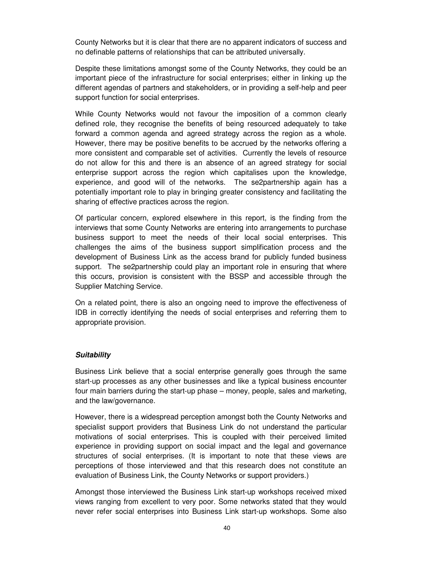County Networks but it is clear that there are no apparent indicators of success and no definable patterns of relationships that can be attributed universally.

Despite these limitations amongst some of the County Networks, they could be an important piece of the infrastructure for social enterprises; either in linking up the different agendas of partners and stakeholders, or in providing a self-help and peer support function for social enterprises.

While County Networks would not favour the imposition of a common clearly defined role, they recognise the benefits of being resourced adequately to take forward a common agenda and agreed strategy across the region as a whole. However, there may be positive benefits to be accrued by the networks offering a more consistent and comparable set of activities. Currently the levels of resource do not allow for this and there is an absence of an agreed strategy for social enterprise support across the region which capitalises upon the knowledge, experience, and good will of the networks. The se2partnership again has a potentially important role to play in bringing greater consistency and facilitating the sharing of effective practices across the region.

Of particular concern, explored elsewhere in this report, is the finding from the interviews that some County Networks are entering into arrangements to purchase business support to meet the needs of their local social enterprises. This challenges the aims of the business support simplification process and the development of Business Link as the access brand for publicly funded business support. The se2partnership could play an important role in ensuring that where this occurs, provision is consistent with the BSSP and accessible through the Supplier Matching Service.

On a related point, there is also an ongoing need to improve the effectiveness of IDB in correctly identifying the needs of social enterprises and referring them to appropriate provision.

#### **Suitability**

Business Link believe that a social enterprise generally goes through the same start-up processes as any other businesses and like a typical business encounter four main barriers during the start-up phase – money, people, sales and marketing, and the law/governance.

However, there is a widespread perception amongst both the County Networks and specialist support providers that Business Link do not understand the particular motivations of social enterprises. This is coupled with their perceived limited experience in providing support on social impact and the legal and governance structures of social enterprises. (It is important to note that these views are perceptions of those interviewed and that this research does not constitute an evaluation of Business Link, the County Networks or support providers.)

Amongst those interviewed the Business Link start-up workshops received mixed views ranging from excellent to very poor. Some networks stated that they would never refer social enterprises into Business Link start-up workshops. Some also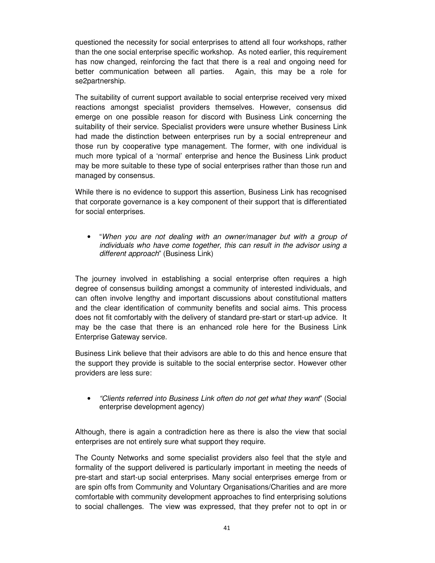questioned the necessity for social enterprises to attend all four workshops, rather than the one social enterprise specific workshop. As noted earlier, this requirement has now changed, reinforcing the fact that there is a real and ongoing need for better communication between all parties. Again, this may be a role for se2partnership.

The suitability of current support available to social enterprise received very mixed reactions amongst specialist providers themselves. However, consensus did emerge on one possible reason for discord with Business Link concerning the suitability of their service. Specialist providers were unsure whether Business Link had made the distinction between enterprises run by a social entrepreneur and those run by cooperative type management. The former, with one individual is much more typical of a 'normal' enterprise and hence the Business Link product may be more suitable to these type of social enterprises rather than those run and managed by consensus.

While there is no evidence to support this assertion, Business Link has recognised that corporate governance is a key component of their support that is differentiated for social enterprises.

• "When you are not dealing with an owner/manager but with a group of individuals who have come together, this can result in the advisor using a different approach" (Business Link)

The journey involved in establishing a social enterprise often requires a high degree of consensus building amongst a community of interested individuals, and can often involve lengthy and important discussions about constitutional matters and the clear identification of community benefits and social aims. This process does not fit comfortably with the delivery of standard pre-start or start-up advice. It may be the case that there is an enhanced role here for the Business Link Enterprise Gateway service.

Business Link believe that their advisors are able to do this and hence ensure that the support they provide is suitable to the social enterprise sector. However other providers are less sure:

• "Clients referred into Business Link often do not get what they want" (Social enterprise development agency)

Although, there is again a contradiction here as there is also the view that social enterprises are not entirely sure what support they require.

The County Networks and some specialist providers also feel that the style and formality of the support delivered is particularly important in meeting the needs of pre-start and start-up social enterprises. Many social enterprises emerge from or are spin offs from Community and Voluntary Organisations/Charities and are more comfortable with community development approaches to find enterprising solutions to social challenges. The view was expressed, that they prefer not to opt in or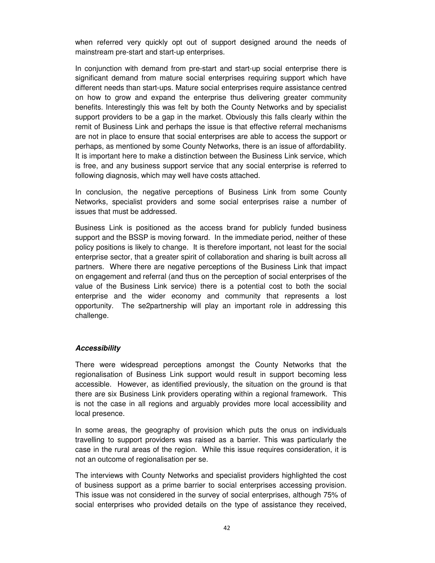when referred very quickly opt out of support designed around the needs of mainstream pre-start and start-up enterprises.

In conjunction with demand from pre-start and start-up social enterprise there is significant demand from mature social enterprises requiring support which have different needs than start-ups. Mature social enterprises require assistance centred on how to grow and expand the enterprise thus delivering greater community benefits. Interestingly this was felt by both the County Networks and by specialist support providers to be a gap in the market. Obviously this falls clearly within the remit of Business Link and perhaps the issue is that effective referral mechanisms are not in place to ensure that social enterprises are able to access the support or perhaps, as mentioned by some County Networks, there is an issue of affordability. It is important here to make a distinction between the Business Link service, which is free, and any business support service that any social enterprise is referred to following diagnosis, which may well have costs attached.

In conclusion, the negative perceptions of Business Link from some County Networks, specialist providers and some social enterprises raise a number of issues that must be addressed.

Business Link is positioned as the access brand for publicly funded business support and the BSSP is moving forward. In the immediate period, neither of these policy positions is likely to change. It is therefore important, not least for the social enterprise sector, that a greater spirit of collaboration and sharing is built across all partners. Where there are negative perceptions of the Business Link that impact on engagement and referral (and thus on the perception of social enterprises of the value of the Business Link service) there is a potential cost to both the social enterprise and the wider economy and community that represents a lost opportunity. The se2partnership will play an important role in addressing this challenge.

#### **Accessibility**

There were widespread perceptions amongst the County Networks that the regionalisation of Business Link support would result in support becoming less accessible. However, as identified previously, the situation on the ground is that there are six Business Link providers operating within a regional framework. This is not the case in all regions and arguably provides more local accessibility and local presence.

In some areas, the geography of provision which puts the onus on individuals travelling to support providers was raised as a barrier. This was particularly the case in the rural areas of the region. While this issue requires consideration, it is not an outcome of regionalisation per se.

The interviews with County Networks and specialist providers highlighted the cost of business support as a prime barrier to social enterprises accessing provision. This issue was not considered in the survey of social enterprises, although 75% of social enterprises who provided details on the type of assistance they received,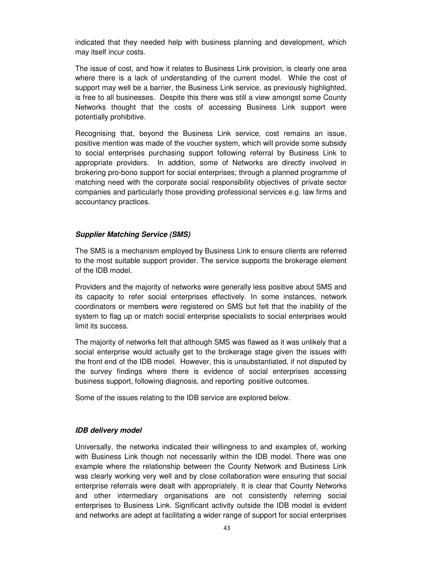indicated that they needed help with business planning and development, which may itself incur costs.

The issue of cost, and how it relates to Business Link provision, is clearly one area where there is a lack of understanding of the current model. While the cost of support may well be a barrier, the Business Link service, as previously highlighted, is free to all businesses. Despite this there was still a view amongst some County Networks thought that the costs of accessing Business Link support were potentially prohibitive.

Recognising that, beyond the Business Link service, cost remains an issue, positive mention was made of the voucher system, which will provide some subsidy to social enterprises purchasing support following referral by Business Link to appropriate providers. In addition, some of Networks are directly involved in brokering pro-bono support for social enterprises; through a planned programme of matching need with the corporate social responsibility objectives of private sector companies and particularly those providing professional services e.g. law firms and accountancy practices.

#### **Supplier Matching Service (SMS)**

The SMS is a mechanism employed by Business Link to ensure clients are referred to the most suitable support provider. The service supports the brokerage element of the IDB model.

Providers and the majority of networks were generally less positive about SMS and its capacity to refer social enterprises effectively. In some instances, network coordinators or members were registered on SMS but felt that the inability of the system to flag up or match social enterprise specialists to social enterprises would limit its success.

The majority of networks felt that although SMS was flawed as it was unlikely that a social enterprise would actually get to the brokerage stage given the issues with the front end of the IDB model. However, this is unsubstantiated, if not disputed by the survey findings where there is evidence of social enterprises accessing business support, following diagnosis, and reporting positive outcomes.

Some of the issues relating to the IDB service are explored below.

#### **IDB delivery model**

Universally, the networks indicated their willingness to and examples of, working with Business Link though not necessarily within the IDB model. There was one example where the relationship between the County Network and Business Link was clearly working very well and by close collaboration were ensuring that social enterprise referrals were dealt with appropriately. It is clear that County Networks and other intermediary organisations are not consistently referring social enterprises to Business Link. Significant activity outside the IDB model is evident and networks are adept at facilitating a wider range of support for social enterprises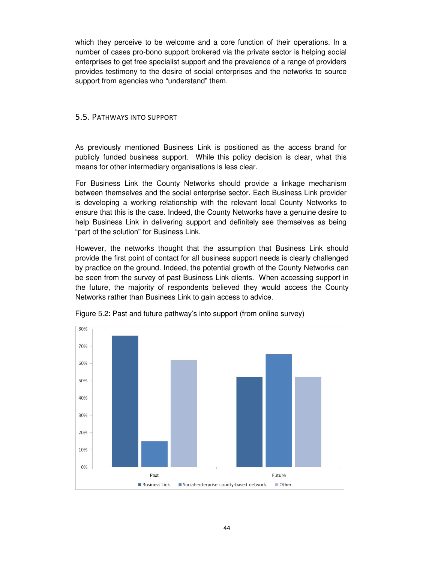<span id="page-43-0"></span>which they perceive to be welcome and a core function of their operations. In a number of cases pro-bono support brokered via the private sector is helping social enterprises to get free specialist support and the prevalence of a range of providers provides testimony to the desire of social enterprises and the networks to source support from agencies who "understand" them.

#### 5.5. PATHWAYS INTO SUPPORT

As previously mentioned Business Link is positioned as the access brand for publicly funded business support. While this policy decision is clear, what this means for other intermediary organisations is less clear.

For Business Link the County Networks should provide a linkage mechanism between themselves and the social enterprise sector. Each Business Link provider is developing a working relationship with the relevant local County Networks to ensure that this is the case. Indeed, the County Networks have a genuine desire to help Business Link in delivering support and definitely see themselves as being "part of the solution" for Business Link.

However, the networks thought that the assumption that Business Link should provide the first point of contact for all business support needs is clearly challenged by practice on the ground. Indeed, the potential growth of the County Networks can be seen from the survey of past Business Link clients. When accessing support in the future, the majority of respondents believed they would access the County Networks rather than Business Link to gain access to advice.



Figure 5.2: Past and future pathway's into support (from online survey)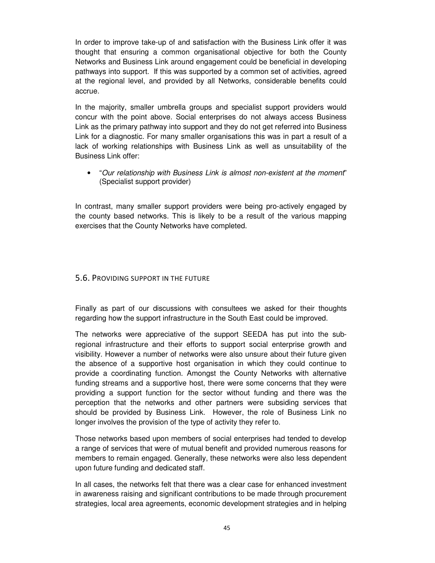<span id="page-44-0"></span>In order to improve take-up of and satisfaction with the Business Link offer it was thought that ensuring a common organisational objective for both the County Networks and Business Link around engagement could be beneficial in developing pathways into support. If this was supported by a common set of activities, agreed at the regional level, and provided by all Networks, considerable benefits could accrue.

In the majority, smaller umbrella groups and specialist support providers would concur with the point above. Social enterprises do not always access Business Link as the primary pathway into support and they do not get referred into Business Link for a diagnostic. For many smaller organisations this was in part a result of a lack of working relationships with Business Link as well as unsuitability of the Business Link offer:

• "Our relationship with Business Link is almost non-existent at the moment" (Specialist support provider)

In contrast, many smaller support providers were being pro-actively engaged by the county based networks. This is likely to be a result of the various mapping exercises that the County Networks have completed.

#### 5.6. PROVIDING SUPPORT IN THE FUTURE

Finally as part of our discussions with consultees we asked for their thoughts regarding how the support infrastructure in the South East could be improved.

The networks were appreciative of the support SEEDA has put into the subregional infrastructure and their efforts to support social enterprise growth and visibility. However a number of networks were also unsure about their future given the absence of a supportive host organisation in which they could continue to provide a coordinating function. Amongst the County Networks with alternative funding streams and a supportive host, there were some concerns that they were providing a support function for the sector without funding and there was the perception that the networks and other partners were subsiding services that should be provided by Business Link. However, the role of Business Link no longer involves the provision of the type of activity they refer to.

Those networks based upon members of social enterprises had tended to develop a range of services that were of mutual benefit and provided numerous reasons for members to remain engaged. Generally, these networks were also less dependent upon future funding and dedicated staff.

In all cases, the networks felt that there was a clear case for enhanced investment in awareness raising and significant contributions to be made through procurement strategies, local area agreements, economic development strategies and in helping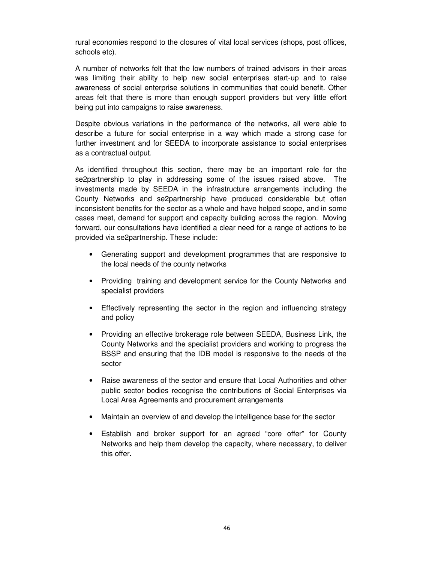rural economies respond to the closures of vital local services (shops, post offices, schools etc).

A number of networks felt that the low numbers of trained advisors in their areas was limiting their ability to help new social enterprises start-up and to raise awareness of social enterprise solutions in communities that could benefit. Other areas felt that there is more than enough support providers but very little effort being put into campaigns to raise awareness.

Despite obvious variations in the performance of the networks, all were able to describe a future for social enterprise in a way which made a strong case for further investment and for SEEDA to incorporate assistance to social enterprises as a contractual output.

As identified throughout this section, there may be an important role for the se2partnership to play in addressing some of the issues raised above. The investments made by SEEDA in the infrastructure arrangements including the County Networks and se2partnership have produced considerable but often inconsistent benefits for the sector as a whole and have helped scope, and in some cases meet, demand for support and capacity building across the region. Moving forward, our consultations have identified a clear need for a range of actions to be provided via se2partnership. These include:

- Generating support and development programmes that are responsive to the local needs of the county networks
- Providing training and development service for the County Networks and specialist providers
- Effectively representing the sector in the region and influencing strategy and policy
- Providing an effective brokerage role between SEEDA, Business Link, the County Networks and the specialist providers and working to progress the BSSP and ensuring that the IDB model is responsive to the needs of the sector
- Raise awareness of the sector and ensure that Local Authorities and other public sector bodies recognise the contributions of Social Enterprises via Local Area Agreements and procurement arrangements
- Maintain an overview of and develop the intelligence base for the sector
- Establish and broker support for an agreed "core offer" for County Networks and help them develop the capacity, where necessary, to deliver this offer.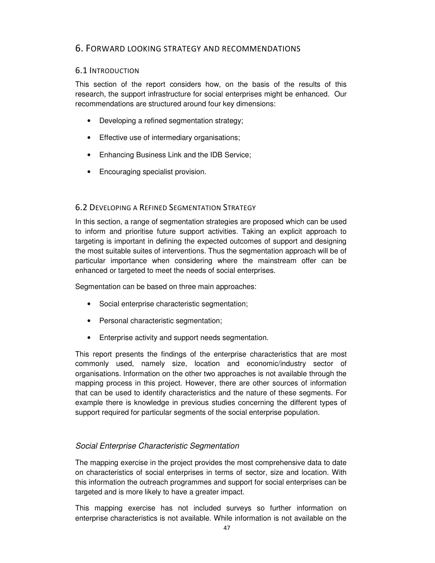# <span id="page-46-0"></span>6. FORWARD LOOKING STRATEGY AND RECOMMENDATIONS

# 6.1 INTRODUCTION

This section of the report considers how, on the basis of the results of this research, the support infrastructure for social enterprises might be enhanced. Our recommendations are structured around four key dimensions:

- Developing a refined segmentation strategy;
- Effective use of intermediary organisations;
- Enhancing Business Link and the IDB Service;
- Encouraging specialist provision.

# 6.2 DEVELOPING A REFINED SEGMENTATION STRATEGY

In this section, a range of segmentation strategies are proposed which can be used to inform and prioritise future support activities. Taking an explicit approach to targeting is important in defining the expected outcomes of support and designing the most suitable suites of interventions. Thus the segmentation approach will be of particular importance when considering where the mainstream offer can be enhanced or targeted to meet the needs of social enterprises.

Segmentation can be based on three main approaches:

- Social enterprise characteristic segmentation;
- Personal characteristic segmentation;
- Enterprise activity and support needs segmentation.

This report presents the findings of the enterprise characteristics that are most commonly used, namely size, location and economic/industry sector of organisations. Information on the other two approaches is not available through the mapping process in this project. However, there are other sources of information that can be used to identify characteristics and the nature of these segments. For example there is knowledge in previous studies concerning the different types of support required for particular segments of the social enterprise population.

# Social Enterprise Characteristic Segmentation

The mapping exercise in the project provides the most comprehensive data to date on characteristics of social enterprises in terms of sector, size and location. With this information the outreach programmes and support for social enterprises can be targeted and is more likely to have a greater impact.

This mapping exercise has not included surveys so further information on enterprise characteristics is not available. While information is not available on the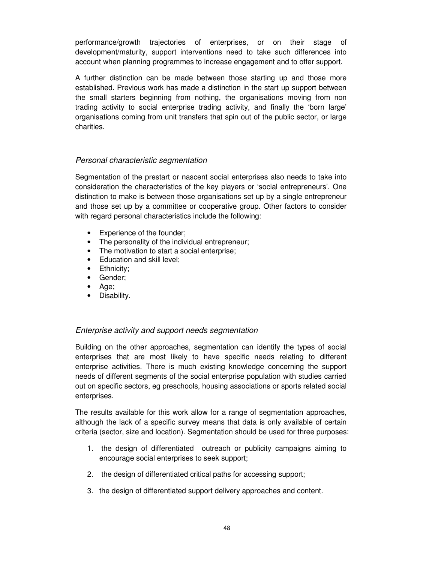performance/growth trajectories of enterprises, or on their stage of development/maturity, support interventions need to take such differences into account when planning programmes to increase engagement and to offer support.

A further distinction can be made between those starting up and those more established. Previous work has made a distinction in the start up support between the small starters beginning from nothing, the organisations moving from non trading activity to social enterprise trading activity, and finally the 'born large' organisations coming from unit transfers that spin out of the public sector, or large charities.

# Personal characteristic segmentation

Segmentation of the prestart or nascent social enterprises also needs to take into consideration the characteristics of the key players or 'social entrepreneurs'. One distinction to make is between those organisations set up by a single entrepreneur and those set up by a committee or cooperative group. Other factors to consider with regard personal characteristics include the following:

- Experience of the founder;
- The personality of the individual entrepreneur;
- The motivation to start a social enterprise;
- Education and skill level;
- Ethnicity;
- Gender;
- Age;
- Disability.

# Enterprise activity and support needs segmentation

Building on the other approaches, segmentation can identify the types of social enterprises that are most likely to have specific needs relating to different enterprise activities. There is much existing knowledge concerning the support needs of different segments of the social enterprise population with studies carried out on specific sectors, eg preschools, housing associations or sports related social enterprises.

The results available for this work allow for a range of segmentation approaches, although the lack of a specific survey means that data is only available of certain criteria (sector, size and location). Segmentation should be used for three purposes:

- 1. the design of differentiated outreach or publicity campaigns aiming to encourage social enterprises to seek support;
- 2. the design of differentiated critical paths for accessing support;
- 3. the design of differentiated support delivery approaches and content.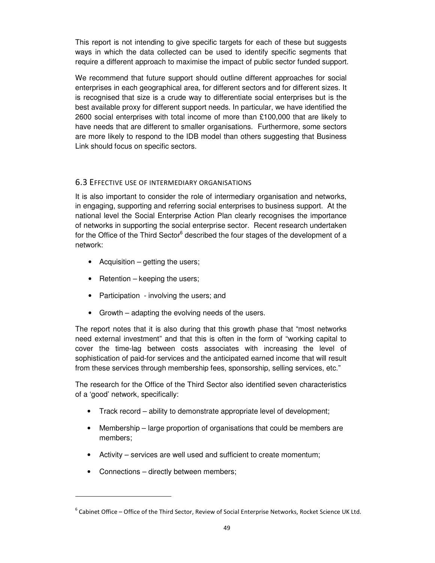<span id="page-48-0"></span>This report is not intending to give specific targets for each of these but suggests ways in which the data collected can be used to identify specific segments that require a different approach to maximise the impact of public sector funded support.

We recommend that future support should outline different approaches for social enterprises in each geographical area, for different sectors and for different sizes. It is recognised that size is a crude way to differentiate social enterprises but is the best available proxy for different support needs. In particular, we have identified the 2600 social enterprises with total income of more than £100,000 that are likely to have needs that are different to smaller organisations. Furthermore, some sectors are more likely to respond to the IDB model than others suggesting that Business Link should focus on specific sectors.

#### 6.3 EFFECTIVE USE OF INTERMEDIARY ORGANISATIONS

It is also important to consider the role of intermediary organisation and networks, in engaging, supporting and referring social enterprises to business support. At the national level the Social Enterprise Action Plan clearly recognises the importance of networks in supporting the social enterprise sector. Recent research undertaken for the Office of the Third Sector<sup>6</sup> described the four stages of the development of a network:

- Acquisition getting the users;
- Retention keeping the users;
- Participation involving the users; and
- Growth adapting the evolving needs of the users.

The report notes that it is also during that this growth phase that "most networks need external investment" and that this is often in the form of "working capital to cover the time-lag between costs associates with increasing the level of sophistication of paid-for services and the anticipated earned income that will result from these services through membership fees, sponsorship, selling services, etc."

The research for the Office of the Third Sector also identified seven characteristics of a 'good' network, specifically:

- Track record ability to demonstrate appropriate level of development;
- Membership large proportion of organisations that could be members are members;
- Activity services are well used and sufficient to create momentum;
- Connections directly between members;

l

 $^6$  Cabinet Office – Office of the Third Sector, Review of Social Enterprise Networks, Rocket Science UK Ltd.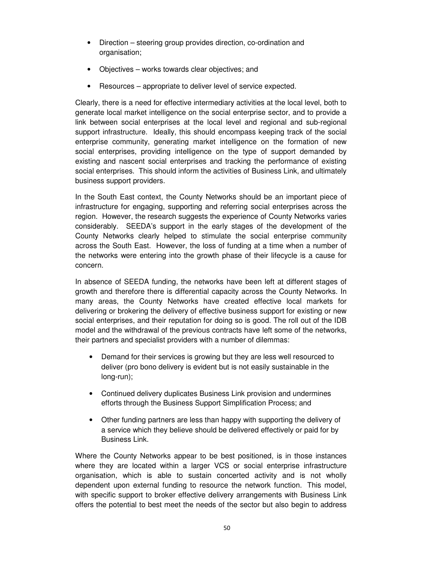- Direction steering group provides direction, co-ordination and organisation;
- Objectives works towards clear objectives; and
- Resources appropriate to deliver level of service expected.

Clearly, there is a need for effective intermediary activities at the local level, both to generate local market intelligence on the social enterprise sector, and to provide a link between social enterprises at the local level and regional and sub-regional support infrastructure. Ideally, this should encompass keeping track of the social enterprise community, generating market intelligence on the formation of new social enterprises, providing intelligence on the type of support demanded by existing and nascent social enterprises and tracking the performance of existing social enterprises. This should inform the activities of Business Link, and ultimately business support providers.

In the South East context, the County Networks should be an important piece of infrastructure for engaging, supporting and referring social enterprises across the region. However, the research suggests the experience of County Networks varies considerably. SEEDA's support in the early stages of the development of the County Networks clearly helped to stimulate the social enterprise community across the South East. However, the loss of funding at a time when a number of the networks were entering into the growth phase of their lifecycle is a cause for concern.

In absence of SEEDA funding, the networks have been left at different stages of growth and therefore there is differential capacity across the County Networks. In many areas, the County Networks have created effective local markets for delivering or brokering the delivery of effective business support for existing or new social enterprises, and their reputation for doing so is good. The roll out of the IDB model and the withdrawal of the previous contracts have left some of the networks, their partners and specialist providers with a number of dilemmas:

- Demand for their services is growing but they are less well resourced to deliver (pro bono delivery is evident but is not easily sustainable in the long-run);
- Continued delivery duplicates Business Link provision and undermines efforts through the Business Support Simplification Process; and
- Other funding partners are less than happy with supporting the delivery of a service which they believe should be delivered effectively or paid for by Business Link.

Where the County Networks appear to be best positioned, is in those instances where they are located within a larger VCS or social enterprise infrastructure organisation, which is able to sustain concerted activity and is not wholly dependent upon external funding to resource the network function. This model, with specific support to broker effective delivery arrangements with Business Link offers the potential to best meet the needs of the sector but also begin to address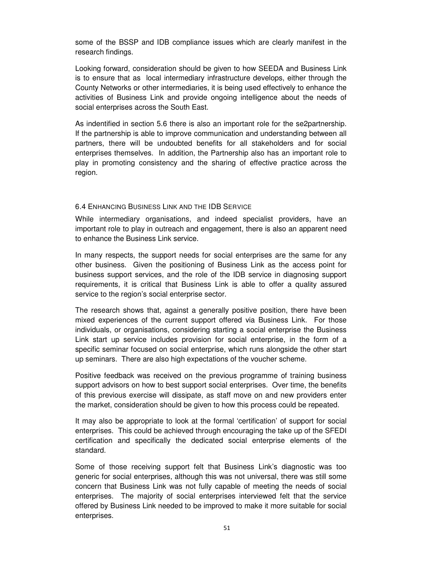<span id="page-50-0"></span>some of the BSSP and IDB compliance issues which are clearly manifest in the research findings.

Looking forward, consideration should be given to how SEEDA and Business Link is to ensure that as local intermediary infrastructure develops, either through the County Networks or other intermediaries, it is being used effectively to enhance the activities of Business Link and provide ongoing intelligence about the needs of social enterprises across the South East.

As indentified in section 5.6 there is also an important role for the se2partnership. If the partnership is able to improve communication and understanding between all partners, there will be undoubted benefits for all stakeholders and for social enterprises themselves. In addition, the Partnership also has an important role to play in promoting consistency and the sharing of effective practice across the region.

#### 6.4 ENHANCING BUSINESS LINK AND THE IDB SERVICE

While intermediary organisations, and indeed specialist providers, have an important role to play in outreach and engagement, there is also an apparent need to enhance the Business Link service.

In many respects, the support needs for social enterprises are the same for any other business. Given the positioning of Business Link as the access point for business support services, and the role of the IDB service in diagnosing support requirements, it is critical that Business Link is able to offer a quality assured service to the region's social enterprise sector.

The research shows that, against a generally positive position, there have been mixed experiences of the current support offered via Business Link. For those individuals, or organisations, considering starting a social enterprise the Business Link start up service includes provision for social enterprise, in the form of a specific seminar focused on social enterprise, which runs alongside the other start up seminars. There are also high expectations of the voucher scheme.

Positive feedback was received on the previous programme of training business support advisors on how to best support social enterprises. Over time, the benefits of this previous exercise will dissipate, as staff move on and new providers enter the market, consideration should be given to how this process could be repeated.

It may also be appropriate to look at the formal 'certification' of support for social enterprises. This could be achieved through encouraging the take up of the SFEDI certification and specifically the dedicated social enterprise elements of the standard.

Some of those receiving support felt that Business Link's diagnostic was too generic for social enterprises, although this was not universal, there was still some concern that Business Link was not fully capable of meeting the needs of social enterprises. The majority of social enterprises interviewed felt that the service offered by Business Link needed to be improved to make it more suitable for social enterprises.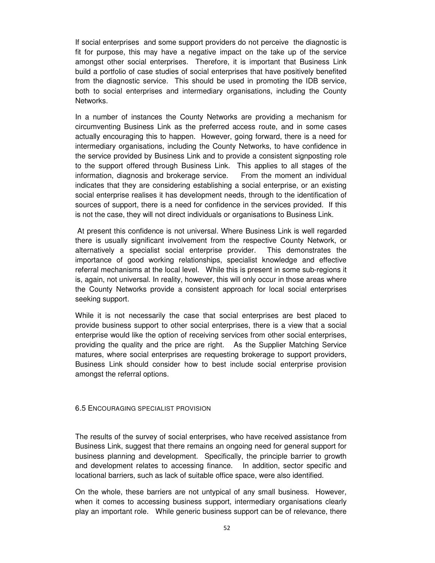<span id="page-51-0"></span>If social enterprises and some support providers do not perceive the diagnostic is fit for purpose, this may have a negative impact on the take up of the service amongst other social enterprises. Therefore, it is important that Business Link build a portfolio of case studies of social enterprises that have positively benefited from the diagnostic service. This should be used in promoting the IDB service, both to social enterprises and intermediary organisations, including the County Networks.

In a number of instances the County Networks are providing a mechanism for circumventing Business Link as the preferred access route, and in some cases actually encouraging this to happen. However, going forward, there is a need for intermediary organisations, including the County Networks, to have confidence in the service provided by Business Link and to provide a consistent signposting role to the support offered through Business Link. This applies to all stages of the information, diagnosis and brokerage service. From the moment an individual indicates that they are considering establishing a social enterprise, or an existing social enterprise realises it has development needs, through to the identification of sources of support, there is a need for confidence in the services provided. If this is not the case, they will not direct individuals or organisations to Business Link.

 At present this confidence is not universal. Where Business Link is well regarded there is usually significant involvement from the respective County Network, or alternatively a specialist social enterprise provider. This demonstrates the importance of good working relationships, specialist knowledge and effective referral mechanisms at the local level. While this is present in some sub-regions it is, again, not universal. In reality, however, this will only occur in those areas where the County Networks provide a consistent approach for local social enterprises seeking support.

While it is not necessarily the case that social enterprises are best placed to provide business support to other social enterprises, there is a view that a social enterprise would like the option of receiving services from other social enterprises, providing the quality and the price are right. As the Supplier Matching Service matures, where social enterprises are requesting brokerage to support providers, Business Link should consider how to best include social enterprise provision amongst the referral options.

#### 6.5 ENCOURAGING SPECIALIST PROVISION

The results of the survey of social enterprises, who have received assistance from Business Link, suggest that there remains an ongoing need for general support for business planning and development. Specifically, the principle barrier to growth and development relates to accessing finance. In addition, sector specific and locational barriers, such as lack of suitable office space, were also identified.

On the whole, these barriers are not untypical of any small business. However, when it comes to accessing business support, intermediary organisations clearly play an important role. While generic business support can be of relevance, there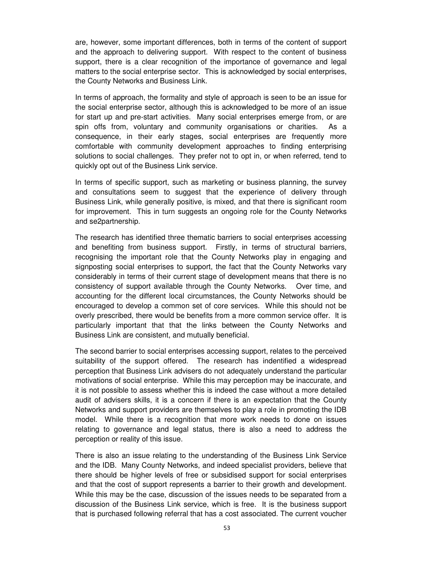are, however, some important differences, both in terms of the content of support and the approach to delivering support. With respect to the content of business support, there is a clear recognition of the importance of governance and legal matters to the social enterprise sector. This is acknowledged by social enterprises, the County Networks and Business Link.

In terms of approach, the formality and style of approach is seen to be an issue for the social enterprise sector, although this is acknowledged to be more of an issue for start up and pre-start activities. Many social enterprises emerge from, or are spin offs from, voluntary and community organisations or charities. As a consequence, in their early stages, social enterprises are frequently more comfortable with community development approaches to finding enterprising solutions to social challenges. They prefer not to opt in, or when referred, tend to quickly opt out of the Business Link service.

In terms of specific support, such as marketing or business planning, the survey and consultations seem to suggest that the experience of delivery through Business Link, while generally positive, is mixed, and that there is significant room for improvement. This in turn suggests an ongoing role for the County Networks and se2partnership.

The research has identified three thematic barriers to social enterprises accessing and benefiting from business support. Firstly, in terms of structural barriers, recognising the important role that the County Networks play in engaging and signposting social enterprises to support, the fact that the County Networks vary considerably in terms of their current stage of development means that there is no consistency of support available through the County Networks. Over time, and accounting for the different local circumstances, the County Networks should be encouraged to develop a common set of core services. While this should not be overly prescribed, there would be benefits from a more common service offer. It is particularly important that that the links between the County Networks and Business Link are consistent, and mutually beneficial.

The second barrier to social enterprises accessing support, relates to the perceived suitability of the support offered. The research has indentified a widespread perception that Business Link advisers do not adequately understand the particular motivations of social enterprise. While this may perception may be inaccurate, and it is not possible to assess whether this is indeed the case without a more detailed audit of advisers skills, it is a concern if there is an expectation that the County Networks and support providers are themselves to play a role in promoting the IDB model. While there is a recognition that more work needs to done on issues relating to governance and legal status, there is also a need to address the perception or reality of this issue.

There is also an issue relating to the understanding of the Business Link Service and the IDB. Many County Networks, and indeed specialist providers, believe that there should be higher levels of free or subsidised support for social enterprises and that the cost of support represents a barrier to their growth and development. While this may be the case, discussion of the issues needs to be separated from a discussion of the Business Link service, which is free. It is the business support that is purchased following referral that has a cost associated. The current voucher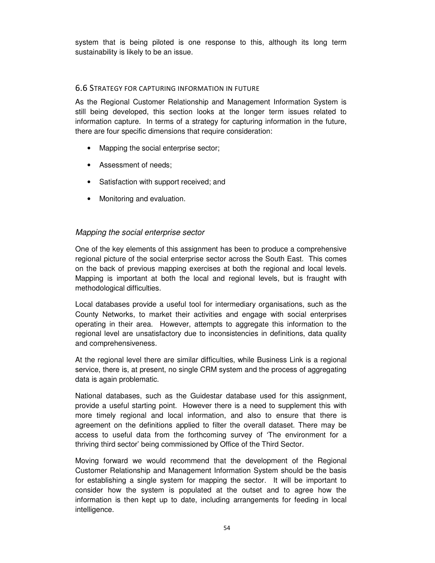<span id="page-53-0"></span>system that is being piloted is one response to this, although its long term sustainability is likely to be an issue.

#### 6.6 STRATEGY FOR CAPTURING INFORMATION IN FUTURE

As the Regional Customer Relationship and Management Information System is still being developed, this section looks at the longer term issues related to information capture. In terms of a strategy for capturing information in the future, there are four specific dimensions that require consideration:

- Mapping the social enterprise sector;
- Assessment of needs;
- Satisfaction with support received; and
- Monitoring and evaluation.

#### Mapping the social enterprise sector

One of the key elements of this assignment has been to produce a comprehensive regional picture of the social enterprise sector across the South East. This comes on the back of previous mapping exercises at both the regional and local levels. Mapping is important at both the local and regional levels, but is fraught with methodological difficulties.

Local databases provide a useful tool for intermediary organisations, such as the County Networks, to market their activities and engage with social enterprises operating in their area. However, attempts to aggregate this information to the regional level are unsatisfactory due to inconsistencies in definitions, data quality and comprehensiveness.

At the regional level there are similar difficulties, while Business Link is a regional service, there is, at present, no single CRM system and the process of aggregating data is again problematic.

National databases, such as the Guidestar database used for this assignment, provide a useful starting point. However there is a need to supplement this with more timely regional and local information, and also to ensure that there is agreement on the definitions applied to filter the overall dataset. There may be access to useful data from the forthcoming survey of 'The environment for a thriving third sector' being commissioned by Office of the Third Sector.

Moving forward we would recommend that the development of the Regional Customer Relationship and Management Information System should be the basis for establishing a single system for mapping the sector. It will be important to consider how the system is populated at the outset and to agree how the information is then kept up to date, including arrangements for feeding in local intelligence.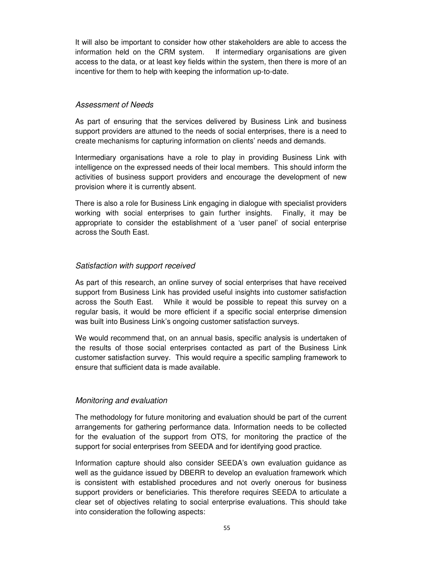It will also be important to consider how other stakeholders are able to access the information held on the CRM system. If intermediary organisations are given access to the data, or at least key fields within the system, then there is more of an incentive for them to help with keeping the information up-to-date.

#### Assessment of Needs

As part of ensuring that the services delivered by Business Link and business support providers are attuned to the needs of social enterprises, there is a need to create mechanisms for capturing information on clients' needs and demands.

Intermediary organisations have a role to play in providing Business Link with intelligence on the expressed needs of their local members. This should inform the activities of business support providers and encourage the development of new provision where it is currently absent.

There is also a role for Business Link engaging in dialogue with specialist providers working with social enterprises to gain further insights. Finally, it may be appropriate to consider the establishment of a 'user panel' of social enterprise across the South East.

#### Satisfaction with support received

As part of this research, an online survey of social enterprises that have received support from Business Link has provided useful insights into customer satisfaction across the South East. While it would be possible to repeat this survey on a regular basis, it would be more efficient if a specific social enterprise dimension was built into Business Link's ongoing customer satisfaction surveys.

We would recommend that, on an annual basis, specific analysis is undertaken of the results of those social enterprises contacted as part of the Business Link customer satisfaction survey. This would require a specific sampling framework to ensure that sufficient data is made available.

#### Monitoring and evaluation

The methodology for future monitoring and evaluation should be part of the current arrangements for gathering performance data. Information needs to be collected for the evaluation of the support from OTS, for monitoring the practice of the support for social enterprises from SEEDA and for identifying good practice.

Information capture should also consider SEEDA's own evaluation guidance as well as the guidance issued by DBERR to develop an evaluation framework which is consistent with established procedures and not overly onerous for business support providers or beneficiaries. This therefore requires SEEDA to articulate a clear set of objectives relating to social enterprise evaluations. This should take into consideration the following aspects: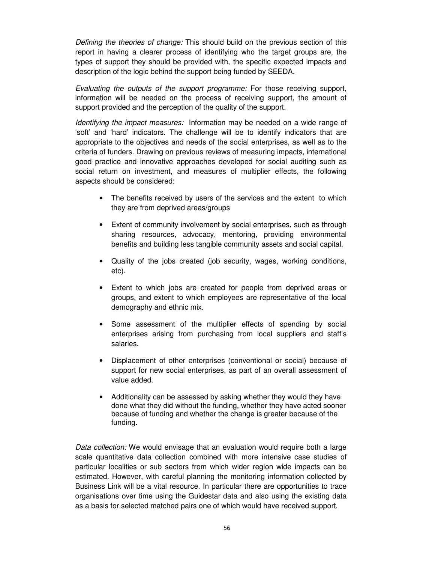Defining the theories of change: This should build on the previous section of this report in having a clearer process of identifying who the target groups are, the types of support they should be provided with, the specific expected impacts and description of the logic behind the support being funded by SEEDA.

Evaluating the outputs of the support programme: For those receiving support, information will be needed on the process of receiving support, the amount of support provided and the perception of the quality of the support.

Identifying the impact measures: Information may be needed on a wide range of 'soft' and 'hard' indicators. The challenge will be to identify indicators that are appropriate to the objectives and needs of the social enterprises, as well as to the criteria of funders. Drawing on previous reviews of measuring impacts, international good practice and innovative approaches developed for social auditing such as social return on investment, and measures of multiplier effects, the following aspects should be considered:

- The benefits received by users of the services and the extent to which they are from deprived areas/groups
- Extent of community involvement by social enterprises, such as through sharing resources, advocacy, mentoring, providing environmental benefits and building less tangible community assets and social capital.
- Quality of the jobs created (job security, wages, working conditions, etc).
- Extent to which jobs are created for people from deprived areas or groups, and extent to which employees are representative of the local demography and ethnic mix.
- Some assessment of the multiplier effects of spending by social enterprises arising from purchasing from local suppliers and staff's salaries.
- Displacement of other enterprises (conventional or social) because of support for new social enterprises, as part of an overall assessment of value added.
- Additionality can be assessed by asking whether they would they have done what they did without the funding, whether they have acted sooner because of funding and whether the change is greater because of the funding.

Data collection: We would envisage that an evaluation would require both a large scale quantitative data collection combined with more intensive case studies of particular localities or sub sectors from which wider region wide impacts can be estimated. However, with careful planning the monitoring information collected by Business Link will be a vital resource. In particular there are opportunities to trace organisations over time using the Guidestar data and also using the existing data as a basis for selected matched pairs one of which would have received support.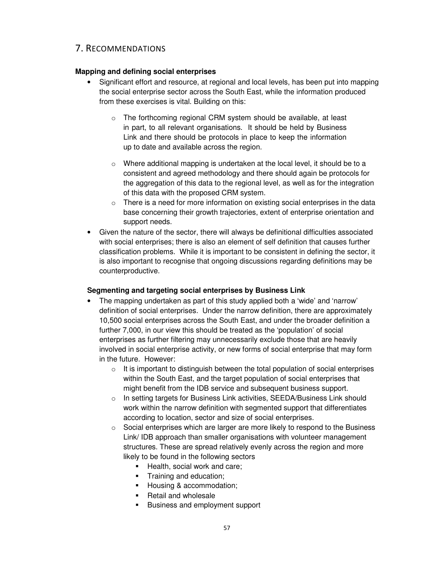# <span id="page-56-0"></span>7. RECOMMENDATIONS

# **Mapping and defining social enterprises**

- Significant effort and resource, at regional and local levels, has been put into mapping the social enterprise sector across the South East, while the information produced from these exercises is vital. Building on this:
	- o The forthcoming regional CRM system should be available, at least in part, to all relevant organisations. It should be held by Business Link and there should be protocols in place to keep the information up to date and available across the region.
	- $\circ$  Where additional mapping is undertaken at the local level, it should be to a consistent and agreed methodology and there should again be protocols for the aggregation of this data to the regional level, as well as for the integration of this data with the proposed CRM system.
	- $\circ$  There is a need for more information on existing social enterprises in the data base concerning their growth trajectories, extent of enterprise orientation and support needs.
- Given the nature of the sector, there will always be definitional difficulties associated with social enterprises; there is also an element of self definition that causes further classification problems. While it is important to be consistent in defining the sector, it is also important to recognise that ongoing discussions regarding definitions may be counterproductive.

# **Segmenting and targeting social enterprises by Business Link**

- The mapping undertaken as part of this study applied both a 'wide' and 'narrow' definition of social enterprises. Under the narrow definition, there are approximately 10,500 social enterprises across the South East, and under the broader definition a further 7,000, in our view this should be treated as the 'population' of social enterprises as further filtering may unnecessarily exclude those that are heavily involved in social enterprise activity, or new forms of social enterprise that may form in the future. However:
	- $\circ$  It is important to distinguish between the total population of social enterprises within the South East, and the target population of social enterprises that might benefit from the IDB service and subsequent business support.
	- o In setting targets for Business Link activities, SEEDA/Business Link should work within the narrow definition with segmented support that differentiates according to location, sector and size of social enterprises.
	- $\circ$  Social enterprises which are larger are more likely to respond to the Business Link/ IDB approach than smaller organisations with volunteer management structures. These are spread relatively evenly across the region and more likely to be found in the following sectors
		- Health, social work and care;
		- **Training and education;**
		- Housing & accommodation;
		- Retail and wholesale
		- **Business and employment support**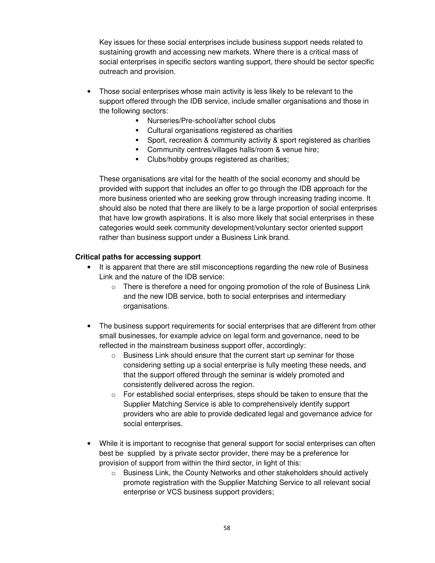Key issues for these social enterprises include business support needs related to sustaining growth and accessing new markets. Where there is a critical mass of social enterprises in specific sectors wanting support, there should be sector specific outreach and provision.

- Those social enterprises whose main activity is less likely to be relevant to the support offered through the IDB service, include smaller organisations and those in the following sectors:
	- Nurseries/Pre-school/after school clubs
	- Cultural organisations registered as charities
	- **Sport, recreation & community activity & sport registered as charities**
	- Community centres/villages halls/room & venue hire;
	- Clubs/hobby groups registered as charities;

These organisations are vital for the health of the social economy and should be provided with support that includes an offer to go through the IDB approach for the more business oriented who are seeking grow through increasing trading income. It should also be noted that there are likely to be a large proportion of social enterprises that have low growth aspirations. It is also more likely that social enterprises in these categories would seek community development/voluntary sector oriented support rather than business support under a Business Link brand.

#### **Critical paths for accessing support**

- It is apparent that there are still misconceptions regarding the new role of Business Link and the nature of the IDB service:
	- $\circ$  There is therefore a need for ongoing promotion of the role of Business Link and the new IDB service, both to social enterprises and intermediary organisations.
- The business support requirements for social enterprises that are different from other small businesses, for example advice on legal form and governance, need to be reflected in the mainstream business support offer, accordingly:
	- o Business Link should ensure that the current start up seminar for those considering setting up a social enterprise is fully meeting these needs, and that the support offered through the seminar is widely promoted and consistently delivered across the region.
	- $\circ$  For established social enterprises, steps should be taken to ensure that the Supplier Matching Service is able to comprehensively identify support providers who are able to provide dedicated legal and governance advice for social enterprises.
- While it is important to recognise that general support for social enterprises can often best be supplied by a private sector provider, there may be a preference for provision of support from within the third sector, in light of this:
	- $\circ$  Business Link, the County Networks and other stakeholders should actively promote registration with the Supplier Matching Service to all relevant social enterprise or VCS business support providers;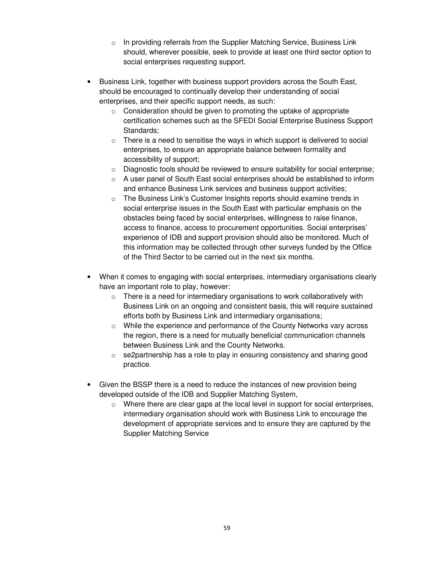- o In providing referrals from the Supplier Matching Service, Business Link should, wherever possible, seek to provide at least one third sector option to social enterprises requesting support.
- Business Link, together with business support providers across the South East, should be encouraged to continually develop their understanding of social enterprises, and their specific support needs, as such:
	- $\circ$  Consideration should be given to promoting the uptake of appropriate certification schemes such as the SFEDI Social Enterprise Business Support Standards;
	- $\circ$  There is a need to sensitise the ways in which support is delivered to social enterprises, to ensure an appropriate balance between formality and accessibility of support;
	- $\circ$  Diagnostic tools should be reviewed to ensure suitability for social enterprise;
	- o A user panel of South East social enterprises should be established to inform and enhance Business Link services and business support activities;
	- $\circ$  The Business Link's Customer Insights reports should examine trends in social enterprise issues in the South East with particular emphasis on the obstacles being faced by social enterprises, willingness to raise finance, access to finance, access to procurement opportunities. Social enterprises' experience of IDB and support provision should also be monitored. Much of this information may be collected through other surveys funded by the Office of the Third Sector to be carried out in the next six months.
- When it comes to engaging with social enterprises, intermediary organisations clearly have an important role to play, however:
	- $\circ$  There is a need for intermediary organisations to work collaboratively with Business Link on an ongoing and consistent basis, this will require sustained efforts both by Business Link and intermediary organisations;
	- $\circ$  While the experience and performance of the County Networks vary across the region, there is a need for mutually beneficial communication channels between Business Link and the County Networks.
	- $\circ$  se2partnership has a role to play in ensuring consistency and sharing good practice.
- Given the BSSP there is a need to reduce the instances of new provision being developed outside of the IDB and Supplier Matching System,
	- $\circ$  Where there are clear gaps at the local level in support for social enterprises, intermediary organisation should work with Business Link to encourage the development of appropriate services and to ensure they are captured by the Supplier Matching Service